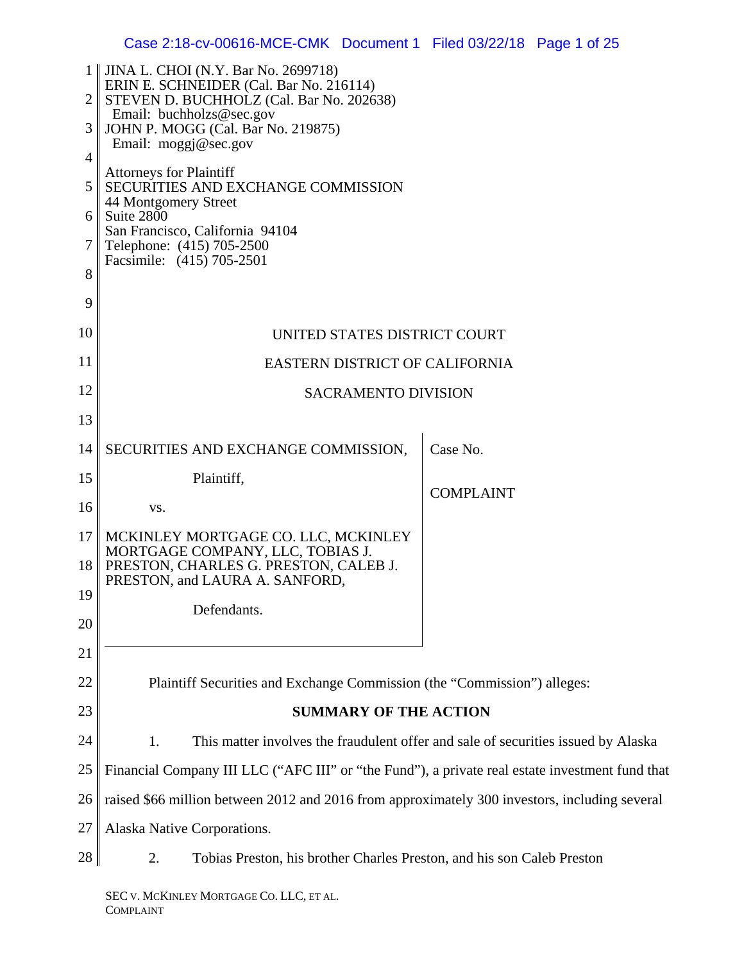|                     | <b>JINA L. CHOI</b> (N.Y. Bar No. 2699718)<br>ERIN E. SCHNEIDER (Cal. Bar No. 216114)                                        |                                                                                   |
|---------------------|------------------------------------------------------------------------------------------------------------------------------|-----------------------------------------------------------------------------------|
| $\overline{2}$<br>3 | STEVEN D. BUCHHOLZ (Cal. Bar No. 202638)<br>Email: buchholzs@sec.gov<br>JOHN P. MOGG (Cal. Bar No. 219875)                   |                                                                                   |
| 4                   | Email: $moggj@sec.gov$                                                                                                       |                                                                                   |
| 5                   | <b>Attorneys for Plaintiff</b><br>SECURITIES AND EXCHANGE COMMISSION                                                         |                                                                                   |
| 6                   | 44 Montgomery Street<br>Suite 2800                                                                                           |                                                                                   |
| 7                   | San Francisco, California 94104<br>Telephone: (415) 705-2500<br>Facsimile: (415) 705-2501                                    |                                                                                   |
| 8                   |                                                                                                                              |                                                                                   |
| 9                   |                                                                                                                              |                                                                                   |
| 10                  | UNITED STATES DISTRICT COURT                                                                                                 |                                                                                   |
| 11                  | EASTERN DISTRICT OF CALIFORNIA                                                                                               |                                                                                   |
| 12                  | <b>SACRAMENTO DIVISION</b>                                                                                                   |                                                                                   |
| 13                  |                                                                                                                              |                                                                                   |
| 14                  | SECURITIES AND EXCHANGE COMMISSION,                                                                                          | Case No.                                                                          |
| 15                  | Plaintiff,                                                                                                                   | <b>COMPLAINT</b>                                                                  |
| 16                  | VS.                                                                                                                          |                                                                                   |
| 17                  | MCKINLEY MORTGAGE CO. LLC, MCKINLEY<br>MORTGAGE COMPANY, LLC, TOBIAS J.                                                      |                                                                                   |
| 18                  | PRESTON, CHARLES G. PRESTON, CALEB J.<br>PRESTON, and LAURA A. SANFORD,                                                      |                                                                                   |
| 19                  | Defendants.                                                                                                                  |                                                                                   |
| 20<br>21            |                                                                                                                              |                                                                                   |
| 22                  | Plaintiff Securities and Exchange Commission (the "Commission") alleges:                                                     |                                                                                   |
| 23                  | <b>SUMMARY OF THE ACTION</b>                                                                                                 |                                                                                   |
| 24                  | 1.                                                                                                                           | This matter involves the fraudulent offer and sale of securities issued by Alaska |
| 25                  |                                                                                                                              |                                                                                   |
| 26                  | Financial Company III LLC ("AFC III" or "the Fund"), a private real estate investment fund that                              |                                                                                   |
| 27                  | raised \$66 million between 2012 and 2016 from approximately 300 investors, including several<br>Alaska Native Corporations. |                                                                                   |
| 28                  | Tobias Preston, his brother Charles Preston, and his son Caleb Preston<br>2.                                                 |                                                                                   |
|                     |                                                                                                                              |                                                                                   |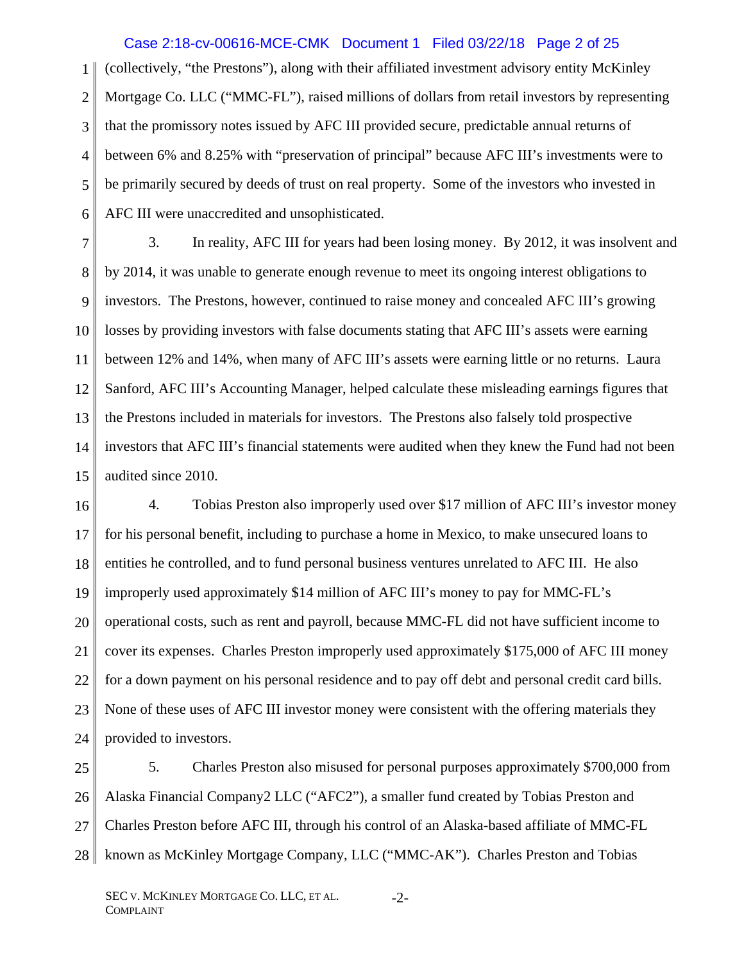## Case 2:18-cv-00616-MCE-CMK Document 1 Filed 03/22/18 Page 2 of 25

1 2 3 4 5 6 (collectively, "the Prestons"), along with their affiliated investment advisory entity McKinley Mortgage Co. LLC ("MMC-FL"), raised millions of dollars from retail investors by representing that the promissory notes issued by AFC III provided secure, predictable annual returns of between 6% and 8.25% with "preservation of principal" because AFC III's investments were to be primarily secured by deeds of trust on real property. Some of the investors who invested in AFC III were unaccredited and unsophisticated.

7 8 9 10 11 12 13 14 15 3. In reality, AFC III for years had been losing money. By 2012, it was insolvent and by 2014, it was unable to generate enough revenue to meet its ongoing interest obligations to investors. The Prestons, however, continued to raise money and concealed AFC III's growing losses by providing investors with false documents stating that AFC III's assets were earning between 12% and 14%, when many of AFC III's assets were earning little or no returns. Laura Sanford, AFC III's Accounting Manager, helped calculate these misleading earnings figures that the Prestons included in materials for investors. The Prestons also falsely told prospective investors that AFC III's financial statements were audited when they knew the Fund had not been audited since 2010.

16 17 18 19 20 21 22 23 24 4. Tobias Preston also improperly used over \$17 million of AFC III's investor money for his personal benefit, including to purchase a home in Mexico, to make unsecured loans to entities he controlled, and to fund personal business ventures unrelated to AFC III. He also improperly used approximately \$14 million of AFC III's money to pay for MMC-FL's operational costs, such as rent and payroll, because MMC-FL did not have sufficient income to cover its expenses. Charles Preston improperly used approximately \$175,000 of AFC III money for a down payment on his personal residence and to pay off debt and personal credit card bills. None of these uses of AFC III investor money were consistent with the offering materials they provided to investors.

25 26 27 28 5. Charles Preston also misused for personal purposes approximately \$700,000 from Alaska Financial Company2 LLC ("AFC2"), a smaller fund created by Tobias Preston and Charles Preston before AFC III, through his control of an Alaska-based affiliate of MMC-FL known as McKinley Mortgage Company, LLC ("MMC-AK"). Charles Preston and Tobias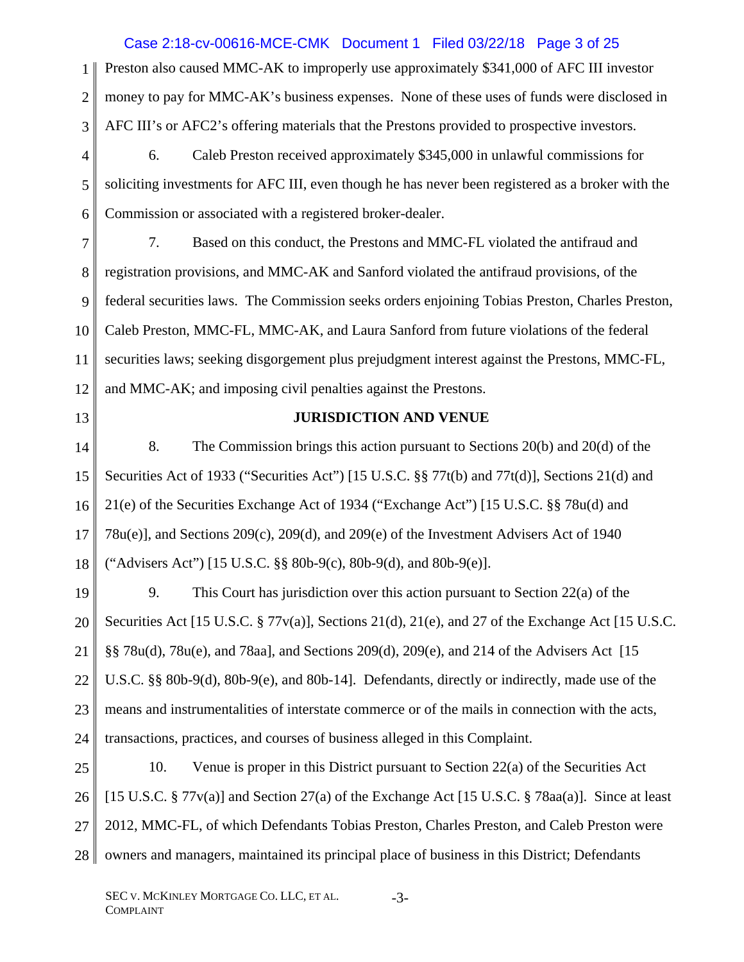#### 1 2 3 4 5 6 7 8 9 10 11 12 13 14 15 16 17 18 19 20 21 22 23 24 25 26 27 28 Preston also caused MMC-AK to improperly use approximately \$341,000 of AFC III investor money to pay for MMC-AK's business expenses. None of these uses of funds were disclosed in AFC III's or AFC2's offering materials that the Prestons provided to prospective investors. 6. Caleb Preston received approximately \$345,000 in unlawful commissions for soliciting investments for AFC III, even though he has never been registered as a broker with the Commission or associated with a registered broker-dealer. 7. Based on this conduct, the Prestons and MMC-FL violated the antifraud and registration provisions, and MMC-AK and Sanford violated the antifraud provisions, of the federal securities laws. The Commission seeks orders enjoining Tobias Preston, Charles Preston, Caleb Preston, MMC-FL, MMC-AK, and Laura Sanford from future violations of the federal securities laws; seeking disgorgement plus prejudgment interest against the Prestons, MMC-FL, and MMC-AK; and imposing civil penalties against the Prestons. **JURISDICTION AND VENUE**  8. The Commission brings this action pursuant to Sections 20(b) and 20(d) of the Securities Act of 1933 ("Securities Act") [15 U.S.C. §§ 77t(b) and 77t(d)], Sections 21(d) and 21(e) of the Securities Exchange Act of 1934 ("Exchange Act") [15 U.S.C. §§ 78u(d) and 78u(e)], and Sections 209(c), 209(d), and 209(e) of the Investment Advisers Act of 1940 ("Advisers Act") [15 U.S.C. §§ 80b-9(c), 80b-9(d), and 80b-9(e)]. 9. This Court has jurisdiction over this action pursuant to Section 22(a) of the Securities Act [15 U.S.C. § 77v(a)], Sections 21(d), 21(e), and 27 of the Exchange Act [15 U.S.C. §§ 78u(d), 78u(e), and 78aa], and Sections 209(d), 209(e), and 214 of the Advisers Act [15 U.S.C. §§ 80b-9(d), 80b-9(e), and 80b-14]. Defendants, directly or indirectly, made use of the means and instrumentalities of interstate commerce or of the mails in connection with the acts, transactions, practices, and courses of business alleged in this Complaint. 10. Venue is proper in this District pursuant to Section 22(a) of the Securities Act [15 U.S.C. § 77v(a)] and Section 27(a) of the Exchange Act [15 U.S.C. § 78aa(a)]. Since at least 2012, MMC-FL, of which Defendants Tobias Preston, Charles Preston, and Caleb Preston were owners and managers, maintained its principal place of business in this District; Defendants Case 2:18-cv-00616-MCE-CMK Document 1 Filed 03/22/18 Page 3 of 25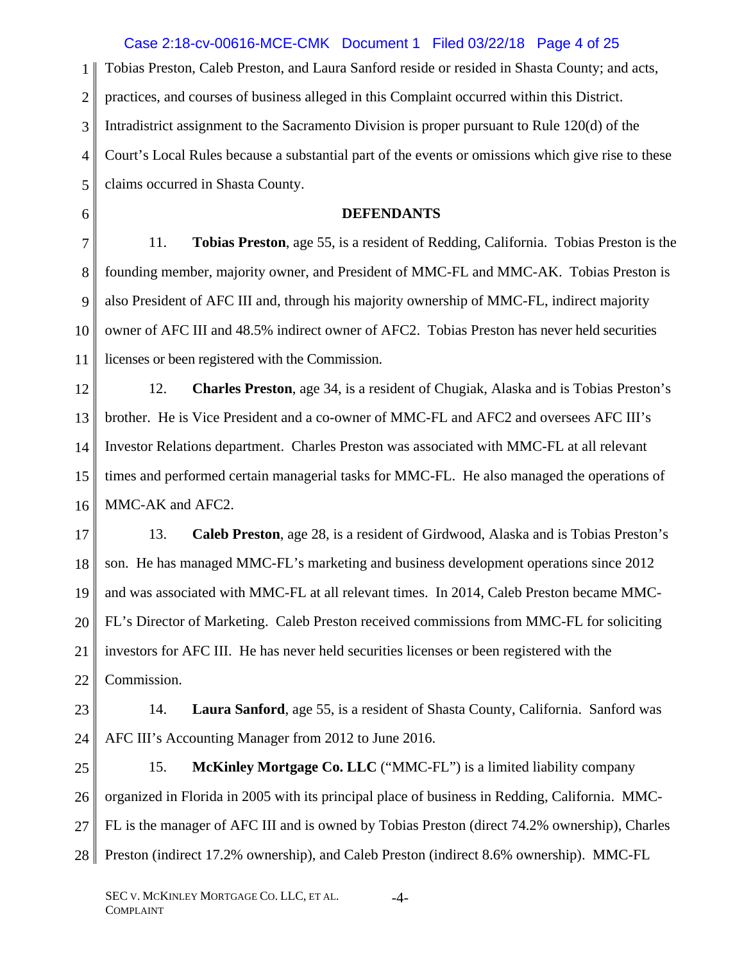1 2 3 4 5 6 7 8 9 10 11 12 13 14 15 16 17 18 19 20 21 22 23 24 Tobias Preston, Caleb Preston, and Laura Sanford reside or resided in Shasta County; and acts, practices, and courses of business alleged in this Complaint occurred within this District. Intradistrict assignment to the Sacramento Division is proper pursuant to Rule 120(d) of the Court's Local Rules because a substantial part of the events or omissions which give rise to these claims occurred in Shasta County. **DEFENDANTS**  11. **Tobias Preston**, age 55, is a resident of Redding, California. Tobias Preston is the founding member, majority owner, and President of MMC-FL and MMC-AK. Tobias Preston is also President of AFC III and, through his majority ownership of MMC-FL, indirect majority owner of AFC III and 48.5% indirect owner of AFC2. Tobias Preston has never held securities licenses or been registered with the Commission. 12. **Charles Preston**, age 34, is a resident of Chugiak, Alaska and is Tobias Preston's brother. He is Vice President and a co-owner of MMC-FL and AFC2 and oversees AFC III's Investor Relations department. Charles Preston was associated with MMC-FL at all relevant times and performed certain managerial tasks for MMC-FL. He also managed the operations of MMC-AK and AFC2. 13. **Caleb Preston**, age 28, is a resident of Girdwood, Alaska and is Tobias Preston's son. He has managed MMC-FL's marketing and business development operations since 2012 and was associated with MMC-FL at all relevant times. In 2014, Caleb Preston became MMC-FL's Director of Marketing. Caleb Preston received commissions from MMC-FL for soliciting investors for AFC III. He has never held securities licenses or been registered with the Commission. 14. **Laura Sanford**, age 55, is a resident of Shasta County, California. Sanford was AFC III's Accounting Manager from 2012 to June 2016. Case 2:18-cv-00616-MCE-CMK Document 1 Filed 03/22/18 Page 4 of 25

25 26 27 28 15. **McKinley Mortgage Co. LLC** ("MMC-FL") is a limited liability company organized in Florida in 2005 with its principal place of business in Redding, California. MMC-FL is the manager of AFC III and is owned by Tobias Preston (direct 74.2% ownership), Charles Preston (indirect 17.2% ownership), and Caleb Preston (indirect 8.6% ownership). MMC-FL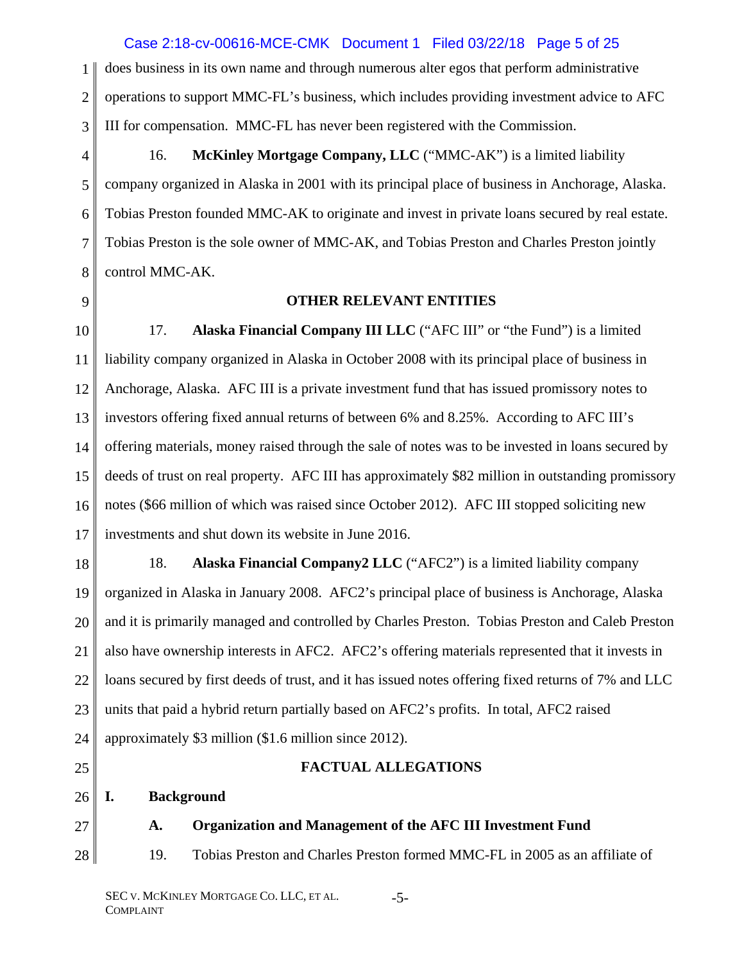# Case 2:18-cv-00616-MCE-CMK Document 1 Filed 03/22/18 Page 5 of 25

1 2 3 does business in its own name and through numerous alter egos that perform administrative operations to support MMC-FL's business, which includes providing investment advice to AFC III for compensation. MMC-FL has never been registered with the Commission.

4

5

6

7

8

16. **McKinley Mortgage Company, LLC** ("MMC-AK") is a limited liability company organized in Alaska in 2001 with its principal place of business in Anchorage, Alaska. Tobias Preston founded MMC-AK to originate and invest in private loans secured by real estate. Tobias Preston is the sole owner of MMC-AK, and Tobias Preston and Charles Preston jointly control MMC-AK.

9

# **OTHER RELEVANT ENTITIES**

10 11 12 13 14 15 16 17 17. **Alaska Financial Company III LLC** ("AFC III" or "the Fund") is a limited liability company organized in Alaska in October 2008 with its principal place of business in Anchorage, Alaska. AFC III is a private investment fund that has issued promissory notes to investors offering fixed annual returns of between 6% and 8.25%. According to AFC III's offering materials, money raised through the sale of notes was to be invested in loans secured by deeds of trust on real property. AFC III has approximately \$82 million in outstanding promissory notes (\$66 million of which was raised since October 2012). AFC III stopped soliciting new investments and shut down its website in June 2016.

18 19 20 21 22 23 24 18. **Alaska Financial Company2 LLC** ("AFC2") is a limited liability company organized in Alaska in January 2008. AFC2's principal place of business is Anchorage, Alaska and it is primarily managed and controlled by Charles Preston. Tobias Preston and Caleb Preston also have ownership interests in AFC2. AFC2's offering materials represented that it invests in loans secured by first deeds of trust, and it has issued notes offering fixed returns of 7% and LLC units that paid a hybrid return partially based on AFC2's profits. In total, AFC2 raised approximately \$3 million (\$1.6 million since 2012).

25

# **FACTUAL ALLEGATIONS**

- 26 **I. Background**
- 27 **A. Organization and Management of the AFC III Investment Fund**

28 19. Tobias Preston and Charles Preston formed MMC-FL in 2005 as an affiliate of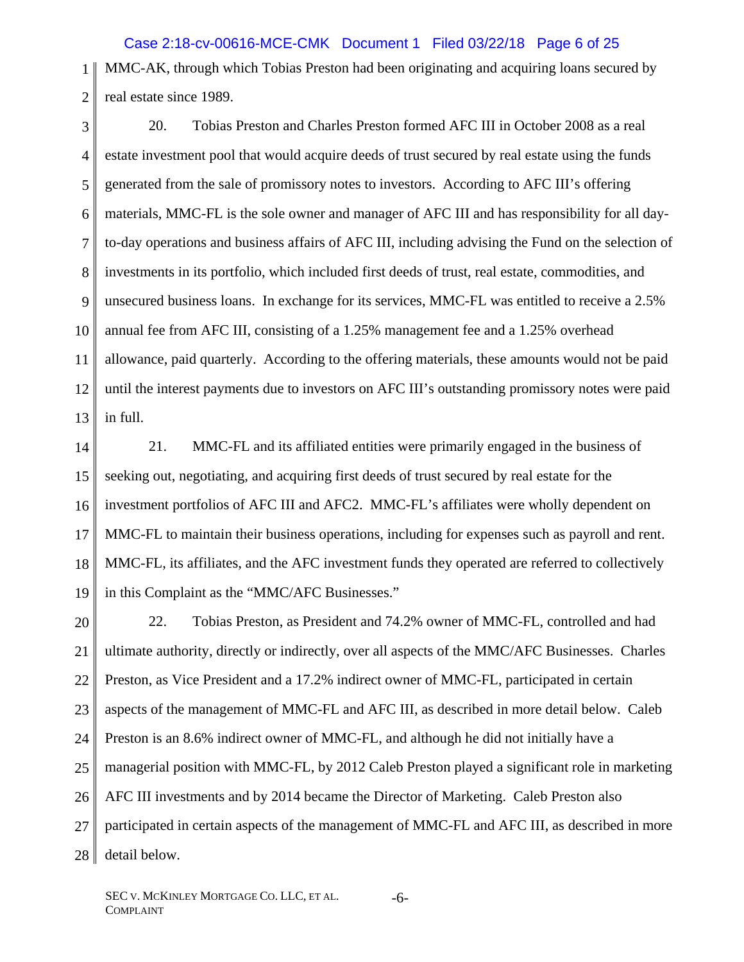Case 2:18-cv-00616-MCE-CMK Document 1 Filed 03/22/18 Page 6 of 25

1 2 MMC-AK, through which Tobias Preston had been originating and acquiring loans secured by real estate since 1989.

3 4 5 6 7 8 9 10 11 12 13 20. Tobias Preston and Charles Preston formed AFC III in October 2008 as a real estate investment pool that would acquire deeds of trust secured by real estate using the funds generated from the sale of promissory notes to investors. According to AFC III's offering materials, MMC-FL is the sole owner and manager of AFC III and has responsibility for all dayto-day operations and business affairs of AFC III, including advising the Fund on the selection of investments in its portfolio, which included first deeds of trust, real estate, commodities, and unsecured business loans. In exchange for its services, MMC-FL was entitled to receive a 2.5% annual fee from AFC III, consisting of a 1.25% management fee and a 1.25% overhead allowance, paid quarterly. According to the offering materials, these amounts would not be paid until the interest payments due to investors on AFC III's outstanding promissory notes were paid in full.

14

15 16 17 18 19 21. MMC-FL and its affiliated entities were primarily engaged in the business of seeking out, negotiating, and acquiring first deeds of trust secured by real estate for the investment portfolios of AFC III and AFC2. MMC-FL's affiliates were wholly dependent on MMC-FL to maintain their business operations, including for expenses such as payroll and rent. MMC-FL, its affiliates, and the AFC investment funds they operated are referred to collectively in this Complaint as the "MMC/AFC Businesses."

20 21 22 23 24 25 26 27 28 22. Tobias Preston, as President and 74.2% owner of MMC-FL, controlled and had ultimate authority, directly or indirectly, over all aspects of the MMC/AFC Businesses. Charles Preston, as Vice President and a 17.2% indirect owner of MMC-FL, participated in certain aspects of the management of MMC-FL and AFC III, as described in more detail below. Caleb Preston is an 8.6% indirect owner of MMC-FL, and although he did not initially have a managerial position with MMC-FL, by 2012 Caleb Preston played a significant role in marketing AFC III investments and by 2014 became the Director of Marketing. Caleb Preston also participated in certain aspects of the management of MMC-FL and AFC III, as described in more detail below.

-6-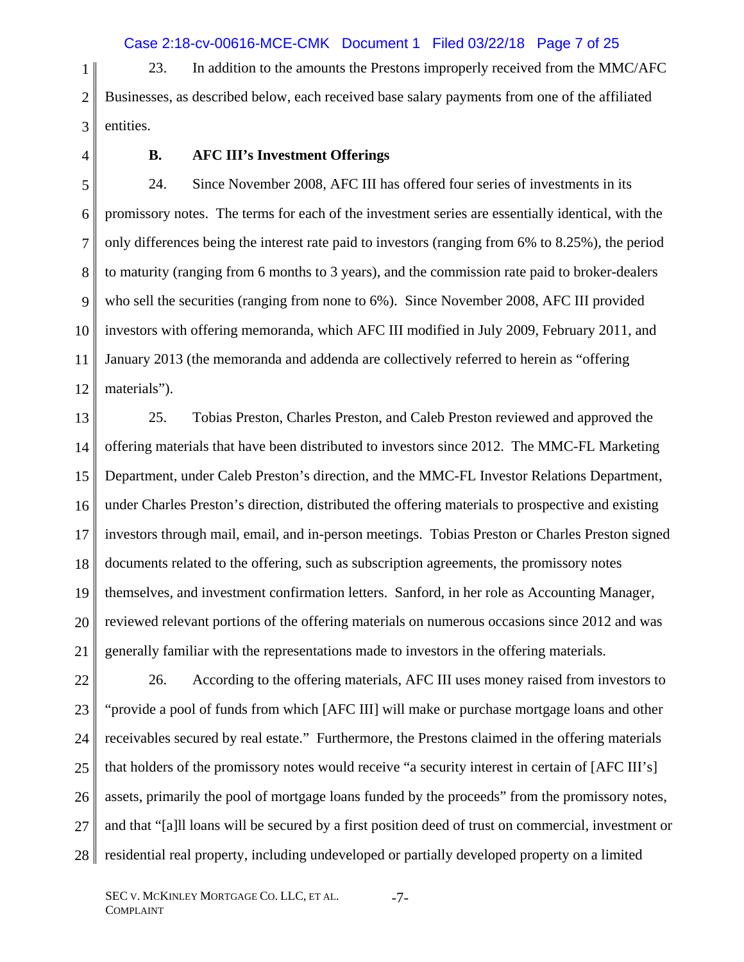1 2 3 23. In addition to the amounts the Prestons improperly received from the MMC/AFC Businesses, as described below, each received base salary payments from one of the affiliated entities.

4

### **B. AFC III's Investment Offerings**

5 6 7 8 9 10 11 12 24. Since November 2008, AFC III has offered four series of investments in its promissory notes. The terms for each of the investment series are essentially identical, with the only differences being the interest rate paid to investors (ranging from 6% to 8.25%), the period to maturity (ranging from 6 months to 3 years), and the commission rate paid to broker-dealers who sell the securities (ranging from none to 6%). Since November 2008, AFC III provided investors with offering memoranda, which AFC III modified in July 2009, February 2011, and January 2013 (the memoranda and addenda are collectively referred to herein as "offering materials").

13 14 15 16 17 18 19 20 21 25. Tobias Preston, Charles Preston, and Caleb Preston reviewed and approved the offering materials that have been distributed to investors since 2012. The MMC-FL Marketing Department, under Caleb Preston's direction, and the MMC-FL Investor Relations Department, under Charles Preston's direction, distributed the offering materials to prospective and existing investors through mail, email, and in-person meetings. Tobias Preston or Charles Preston signed documents related to the offering, such as subscription agreements, the promissory notes themselves, and investment confirmation letters. Sanford, in her role as Accounting Manager, reviewed relevant portions of the offering materials on numerous occasions since 2012 and was generally familiar with the representations made to investors in the offering materials.

22 23 24 25 26 27 28 26. According to the offering materials, AFC III uses money raised from investors to "provide a pool of funds from which [AFC III] will make or purchase mortgage loans and other receivables secured by real estate." Furthermore, the Prestons claimed in the offering materials that holders of the promissory notes would receive "a security interest in certain of [AFC III's] assets, primarily the pool of mortgage loans funded by the proceeds" from the promissory notes, and that "[a]ll loans will be secured by a first position deed of trust on commercial, investment or residential real property, including undeveloped or partially developed property on a limited

-7-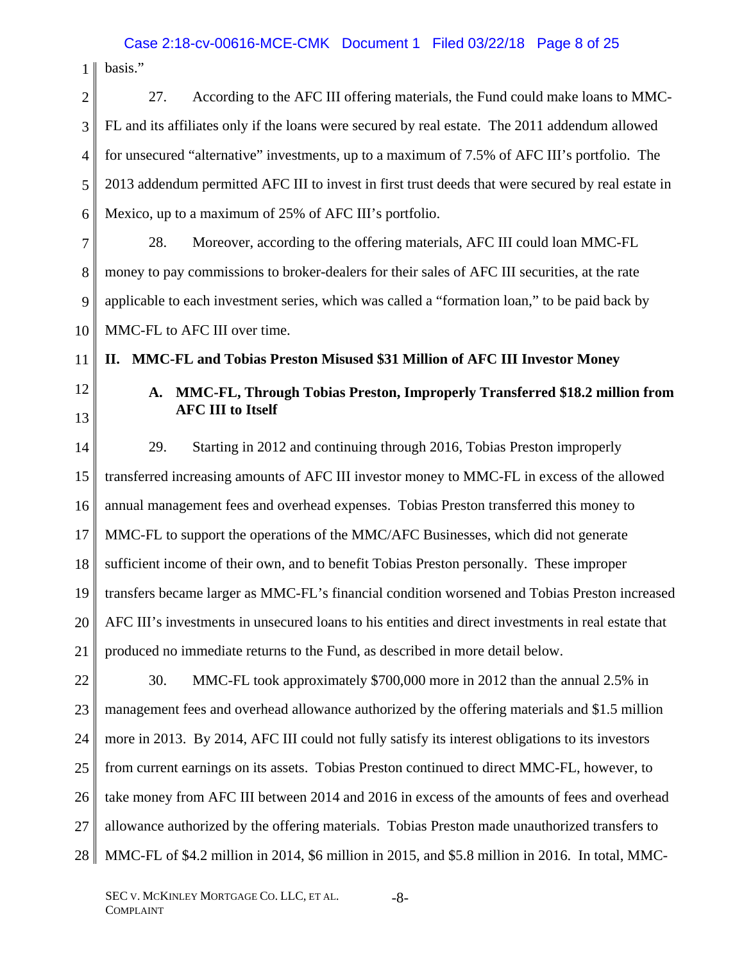$1 \parallel$  basis."

| $\overline{2}$ | According to the AFC III offering materials, the Fund could make loans to MMC-<br>27.               |
|----------------|-----------------------------------------------------------------------------------------------------|
| 3              | FL and its affiliates only if the loans were secured by real estate. The 2011 addendum allowed      |
| $\overline{4}$ | for unsecured "alternative" investments, up to a maximum of 7.5% of AFC III's portfolio. The        |
| 5              | 2013 addendum permitted AFC III to invest in first trust deeds that were secured by real estate in  |
| 6              | Mexico, up to a maximum of 25% of AFC III's portfolio.                                              |
| 7              | 28.<br>Moreover, according to the offering materials, AFC III could loan MMC-FL                     |
| 8              | money to pay commissions to broker-dealers for their sales of AFC III securities, at the rate       |
| 9              | applicable to each investment series, which was called a "formation loan," to be paid back by       |
| 10             | MMC-FL to AFC III over time.                                                                        |
| 11             | MMC-FL and Tobias Preston Misused \$31 Million of AFC III Investor Money<br>П.                      |
| 12             | MMC-FL, Through Tobias Preston, Improperly Transferred \$18.2 million from<br>A.                    |
| 13             | <b>AFC III to Itself</b>                                                                            |
| 14             | 29.<br>Starting in 2012 and continuing through 2016, Tobias Preston improperly                      |
| 15             | transferred increasing amounts of AFC III investor money to MMC-FL in excess of the allowed         |
| 16             | annual management fees and overhead expenses. Tobias Preston transferred this money to              |
| 17             | MMC-FL to support the operations of the MMC/AFC Businesses, which did not generate                  |
| 18             | sufficient income of their own, and to benefit Tobias Preston personally. These improper            |
| 19             | transfers became larger as MMC-FL's financial condition worsened and Tobias Preston increased       |
| 20             | AFC III's investments in unsecured loans to his entities and direct investments in real estate that |
| 21             | produced no immediate returns to the Fund, as described in more detail below.                       |
| 22             | 30.<br>MMC-FL took approximately \$700,000 more in 2012 than the annual 2.5% in                     |
| 23             | management fees and overhead allowance authorized by the offering materials and \$1.5 million       |
| 24             | more in 2013. By 2014, AFC III could not fully satisfy its interest obligations to its investors    |
| 25             | from current earnings on its assets. Tobias Preston continued to direct MMC-FL, however, to         |
| 26             | take money from AFC III between 2014 and 2016 in excess of the amounts of fees and overhead         |
| 27             | allowance authorized by the offering materials. Tobias Preston made unauthorized transfers to       |
| 28             | MMC-FL of \$4.2 million in 2014, \$6 million in 2015, and \$5.8 million in 2016. In total, MMC-     |
|                |                                                                                                     |

-8-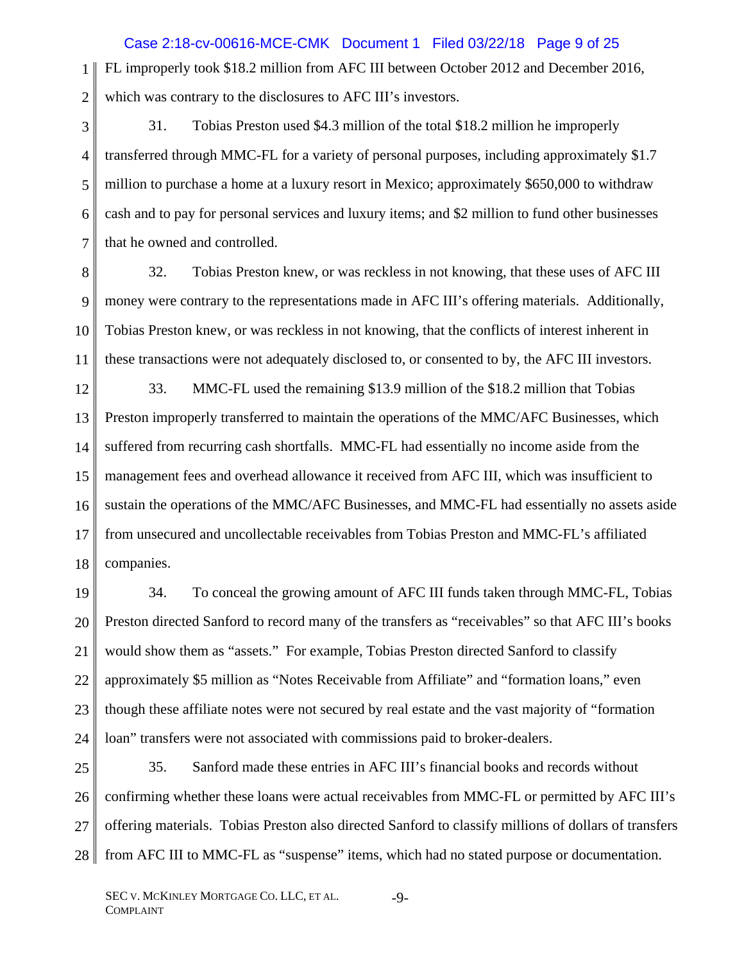1 2 FL improperly took \$18.2 million from AFC III between October 2012 and December 2016, which was contrary to the disclosures to AFC III's investors. Case 2:18-cv-00616-MCE-CMK Document 1 Filed 03/22/18 Page 9 of 25

- 3 4 5 6 7 31. Tobias Preston used \$4.3 million of the total \$18.2 million he improperly transferred through MMC-FL for a variety of personal purposes, including approximately \$1.7 million to purchase a home at a luxury resort in Mexico; approximately \$650,000 to withdraw cash and to pay for personal services and luxury items; and \$2 million to fund other businesses that he owned and controlled.
- 8 9 10 11 32. Tobias Preston knew, or was reckless in not knowing, that these uses of AFC III money were contrary to the representations made in AFC III's offering materials. Additionally, Tobias Preston knew, or was reckless in not knowing, that the conflicts of interest inherent in these transactions were not adequately disclosed to, or consented to by, the AFC III investors.

12 13 14 15 16 17 18 33. MMC-FL used the remaining \$13.9 million of the \$18.2 million that Tobias Preston improperly transferred to maintain the operations of the MMC/AFC Businesses, which suffered from recurring cash shortfalls. MMC-FL had essentially no income aside from the management fees and overhead allowance it received from AFC III, which was insufficient to sustain the operations of the MMC/AFC Businesses, and MMC-FL had essentially no assets aside from unsecured and uncollectable receivables from Tobias Preston and MMC-FL's affiliated companies.

19 20 21 22 23 24 34. To conceal the growing amount of AFC III funds taken through MMC-FL, Tobias Preston directed Sanford to record many of the transfers as "receivables" so that AFC III's books would show them as "assets." For example, Tobias Preston directed Sanford to classify approximately \$5 million as "Notes Receivable from Affiliate" and "formation loans," even though these affiliate notes were not secured by real estate and the vast majority of "formation loan" transfers were not associated with commissions paid to broker-dealers.

25 26 27 28 35. Sanford made these entries in AFC III's financial books and records without confirming whether these loans were actual receivables from MMC-FL or permitted by AFC III's offering materials. Tobias Preston also directed Sanford to classify millions of dollars of transfers from AFC III to MMC-FL as "suspense" items, which had no stated purpose or documentation.

-9-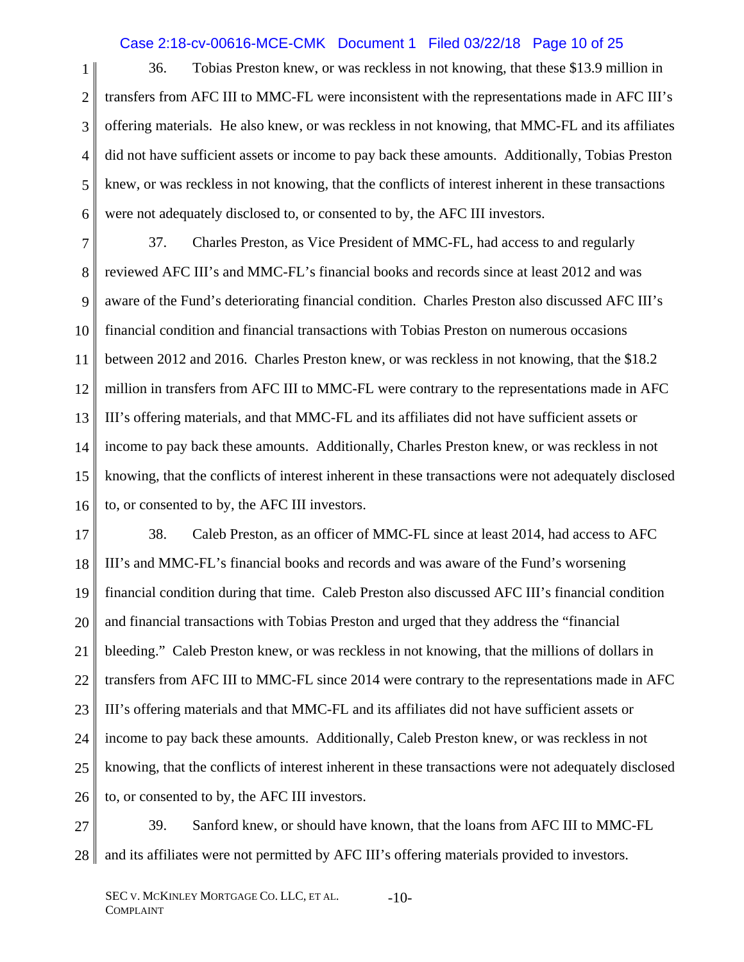# Case 2:18-cv-00616-MCE-CMK Document 1 Filed 03/22/18 Page 10 of 25

1 2 3 4 5 6 36. Tobias Preston knew, or was reckless in not knowing, that these \$13.9 million in transfers from AFC III to MMC-FL were inconsistent with the representations made in AFC III's offering materials. He also knew, or was reckless in not knowing, that MMC-FL and its affiliates did not have sufficient assets or income to pay back these amounts. Additionally, Tobias Preston knew, or was reckless in not knowing, that the conflicts of interest inherent in these transactions were not adequately disclosed to, or consented to by, the AFC III investors.

7 8 9 10 11 12 13 14 15 16 37. Charles Preston, as Vice President of MMC-FL, had access to and regularly reviewed AFC III's and MMC-FL's financial books and records since at least 2012 and was aware of the Fund's deteriorating financial condition. Charles Preston also discussed AFC III's financial condition and financial transactions with Tobias Preston on numerous occasions between 2012 and 2016. Charles Preston knew, or was reckless in not knowing, that the \$18.2 million in transfers from AFC III to MMC-FL were contrary to the representations made in AFC III's offering materials, and that MMC-FL and its affiliates did not have sufficient assets or income to pay back these amounts. Additionally, Charles Preston knew, or was reckless in not knowing, that the conflicts of interest inherent in these transactions were not adequately disclosed to, or consented to by, the AFC III investors.

17 18 19 20 21 22 23 24 25 26 38. Caleb Preston, as an officer of MMC-FL since at least 2014, had access to AFC III's and MMC-FL's financial books and records and was aware of the Fund's worsening financial condition during that time. Caleb Preston also discussed AFC III's financial condition and financial transactions with Tobias Preston and urged that they address the "financial bleeding." Caleb Preston knew, or was reckless in not knowing, that the millions of dollars in transfers from AFC III to MMC-FL since 2014 were contrary to the representations made in AFC III's offering materials and that MMC-FL and its affiliates did not have sufficient assets or income to pay back these amounts. Additionally, Caleb Preston knew, or was reckless in not knowing, that the conflicts of interest inherent in these transactions were not adequately disclosed to, or consented to by, the AFC III investors.

27 28 39. Sanford knew, or should have known, that the loans from AFC III to MMC-FL and its affiliates were not permitted by AFC III's offering materials provided to investors.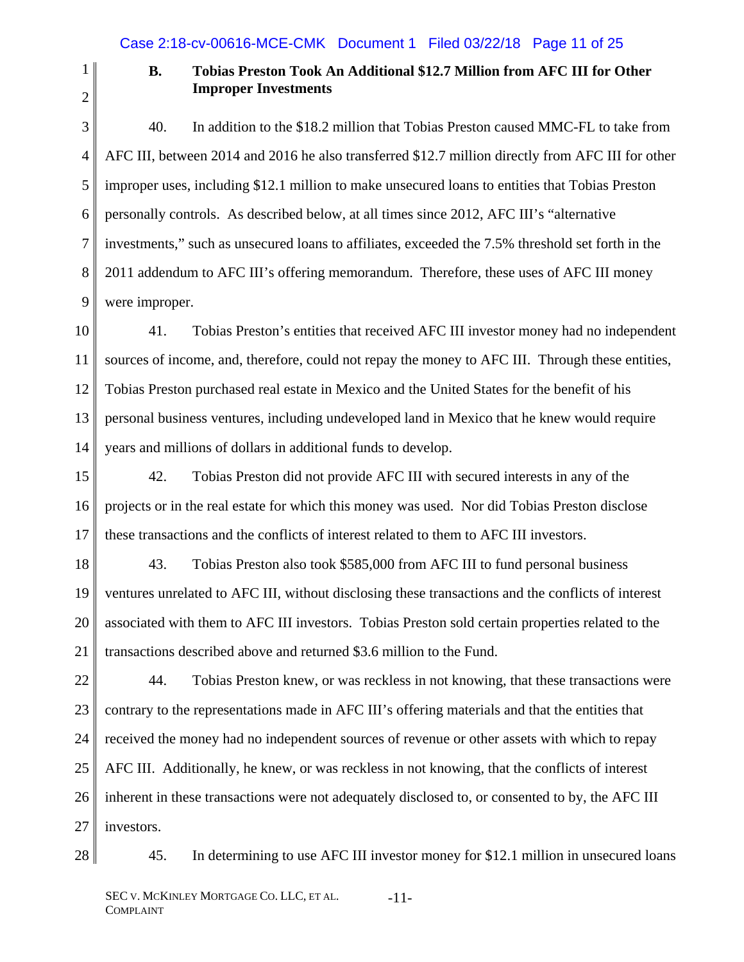2

1

# **B. Tobias Preston Took An Additional \$12.7 Million from AFC III for Other Improper Investments**

- 3 4 5 6 7 8 9 40. In addition to the \$18.2 million that Tobias Preston caused MMC-FL to take from AFC III, between 2014 and 2016 he also transferred \$12.7 million directly from AFC III for other improper uses, including \$12.1 million to make unsecured loans to entities that Tobias Preston personally controls. As described below, at all times since 2012, AFC III's "alternative investments," such as unsecured loans to affiliates, exceeded the 7.5% threshold set forth in the 2011 addendum to AFC III's offering memorandum. Therefore, these uses of AFC III money were improper.
- 10 11 12 13 14 41. Tobias Preston's entities that received AFC III investor money had no independent sources of income, and, therefore, could not repay the money to AFC III. Through these entities, Tobias Preston purchased real estate in Mexico and the United States for the benefit of his personal business ventures, including undeveloped land in Mexico that he knew would require years and millions of dollars in additional funds to develop.
- 15 16 17 42. Tobias Preston did not provide AFC III with secured interests in any of the projects or in the real estate for which this money was used. Nor did Tobias Preston disclose these transactions and the conflicts of interest related to them to AFC III investors.
- 18 19 20 21 43. Tobias Preston also took \$585,000 from AFC III to fund personal business ventures unrelated to AFC III, without disclosing these transactions and the conflicts of interest associated with them to AFC III investors. Tobias Preston sold certain properties related to the transactions described above and returned \$3.6 million to the Fund.
- 22 23 24 25 26 27 44. Tobias Preston knew, or was reckless in not knowing, that these transactions were contrary to the representations made in AFC III's offering materials and that the entities that received the money had no independent sources of revenue or other assets with which to repay AFC III. Additionally, he knew, or was reckless in not knowing, that the conflicts of interest inherent in these transactions were not adequately disclosed to, or consented to by, the AFC III investors.
- 28

45. In determining to use AFC III investor money for \$12.1 million in unsecured loans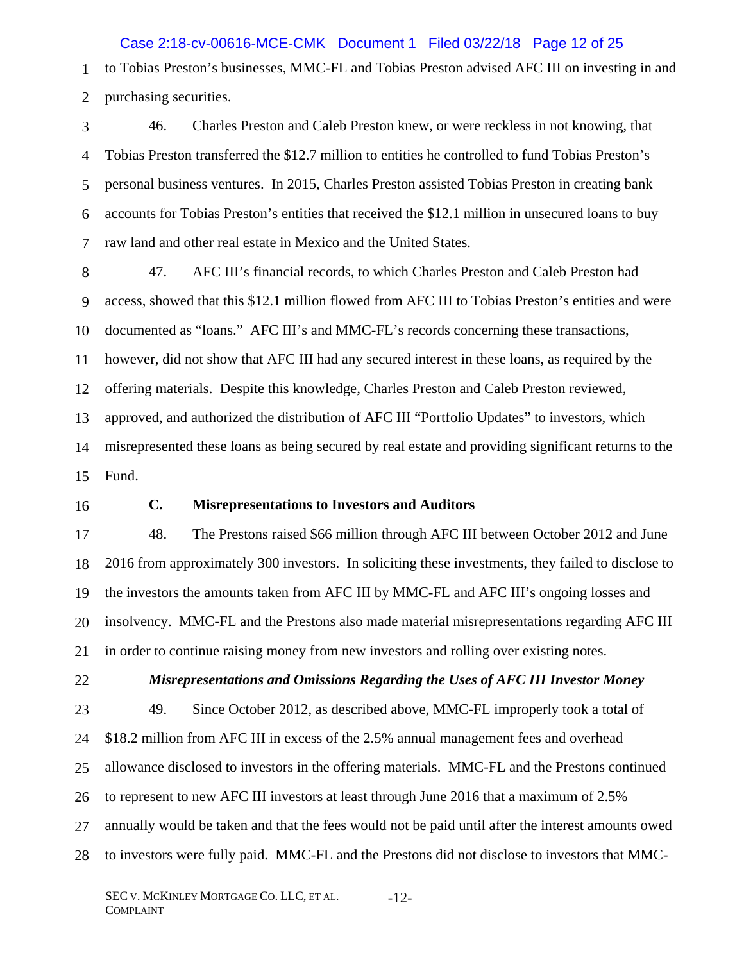Case 2:18-cv-00616-MCE-CMK Document 1 Filed 03/22/18 Page 12 of 25

1 2 to Tobias Preston's businesses, MMC-FL and Tobias Preston advised AFC III on investing in and purchasing securities.

3 4 5 6 7 46. Charles Preston and Caleb Preston knew, or were reckless in not knowing, that Tobias Preston transferred the \$12.7 million to entities he controlled to fund Tobias Preston's personal business ventures. In 2015, Charles Preston assisted Tobias Preston in creating bank accounts for Tobias Preston's entities that received the \$12.1 million in unsecured loans to buy raw land and other real estate in Mexico and the United States.

8 9 10 11 12 13 14 15 47. AFC III's financial records, to which Charles Preston and Caleb Preston had access, showed that this \$12.1 million flowed from AFC III to Tobias Preston's entities and were documented as "loans." AFC III's and MMC-FL's records concerning these transactions, however, did not show that AFC III had any secured interest in these loans, as required by the offering materials. Despite this knowledge, Charles Preston and Caleb Preston reviewed, approved, and authorized the distribution of AFC III "Portfolio Updates" to investors, which misrepresented these loans as being secured by real estate and providing significant returns to the Fund.

16

### **C. Misrepresentations to Investors and Auditors**

17 18 19 20 21 48. The Prestons raised \$66 million through AFC III between October 2012 and June 2016 from approximately 300 investors. In soliciting these investments, they failed to disclose to the investors the amounts taken from AFC III by MMC-FL and AFC III's ongoing losses and insolvency. MMC-FL and the Prestons also made material misrepresentations regarding AFC III in order to continue raising money from new investors and rolling over existing notes.

22

# *Misrepresentations and Omissions Regarding the Uses of AFC III Investor Money*

23 24 25 26 27 28 49. Since October 2012, as described above, MMC-FL improperly took a total of \$18.2 million from AFC III in excess of the 2.5% annual management fees and overhead allowance disclosed to investors in the offering materials. MMC-FL and the Prestons continued to represent to new AFC III investors at least through June 2016 that a maximum of 2.5% annually would be taken and that the fees would not be paid until after the interest amounts owed to investors were fully paid. MMC-FL and the Prestons did not disclose to investors that MMC-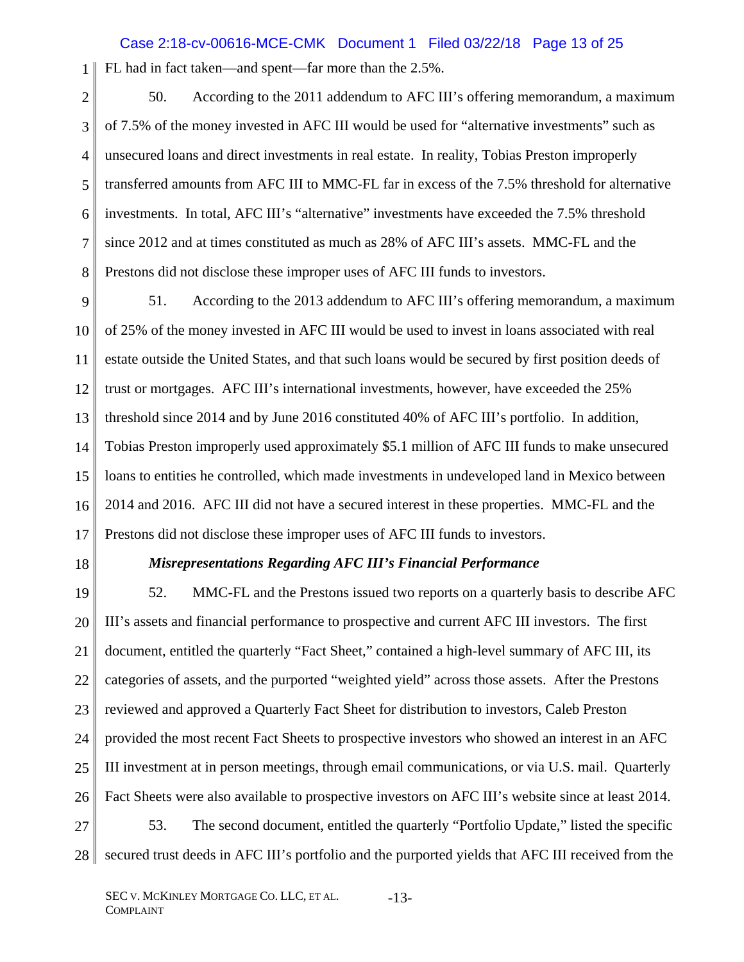# Case 2:18-cv-00616-MCE-CMK Document 1 Filed 03/22/18 Page 13 of 25

1 FL had in fact taken—and spent—far more than the 2.5%.

2 3 4 5 6 7 8 50. According to the 2011 addendum to AFC III's offering memorandum, a maximum of 7.5% of the money invested in AFC III would be used for "alternative investments" such as unsecured loans and direct investments in real estate. In reality, Tobias Preston improperly transferred amounts from AFC III to MMC-FL far in excess of the 7.5% threshold for alternative investments. In total, AFC III's "alternative" investments have exceeded the 7.5% threshold since 2012 and at times constituted as much as 28% of AFC III's assets. MMC-FL and the Prestons did not disclose these improper uses of AFC III funds to investors.

9 10 11 12 13 14 15 16 17 51. According to the 2013 addendum to AFC III's offering memorandum, a maximum of 25% of the money invested in AFC III would be used to invest in loans associated with real estate outside the United States, and that such loans would be secured by first position deeds of trust or mortgages. AFC III's international investments, however, have exceeded the 25% threshold since 2014 and by June 2016 constituted 40% of AFC III's portfolio. In addition, Tobias Preston improperly used approximately \$5.1 million of AFC III funds to make unsecured loans to entities he controlled, which made investments in undeveloped land in Mexico between 2014 and 2016. AFC III did not have a secured interest in these properties. MMC-FL and the Prestons did not disclose these improper uses of AFC III funds to investors.

18

### *Misrepresentations Regarding AFC III's Financial Performance*

19 20 21 22 23 24 25 26 27 52. MMC-FL and the Prestons issued two reports on a quarterly basis to describe AFC III's assets and financial performance to prospective and current AFC III investors. The first document, entitled the quarterly "Fact Sheet," contained a high-level summary of AFC III, its categories of assets, and the purported "weighted yield" across those assets. After the Prestons reviewed and approved a Quarterly Fact Sheet for distribution to investors, Caleb Preston provided the most recent Fact Sheets to prospective investors who showed an interest in an AFC III investment at in person meetings, through email communications, or via U.S. mail. Quarterly Fact Sheets were also available to prospective investors on AFC III's website since at least 2014. 53. The second document, entitled the quarterly "Portfolio Update," listed the specific

28 secured trust deeds in AFC III's portfolio and the purported yields that AFC III received from the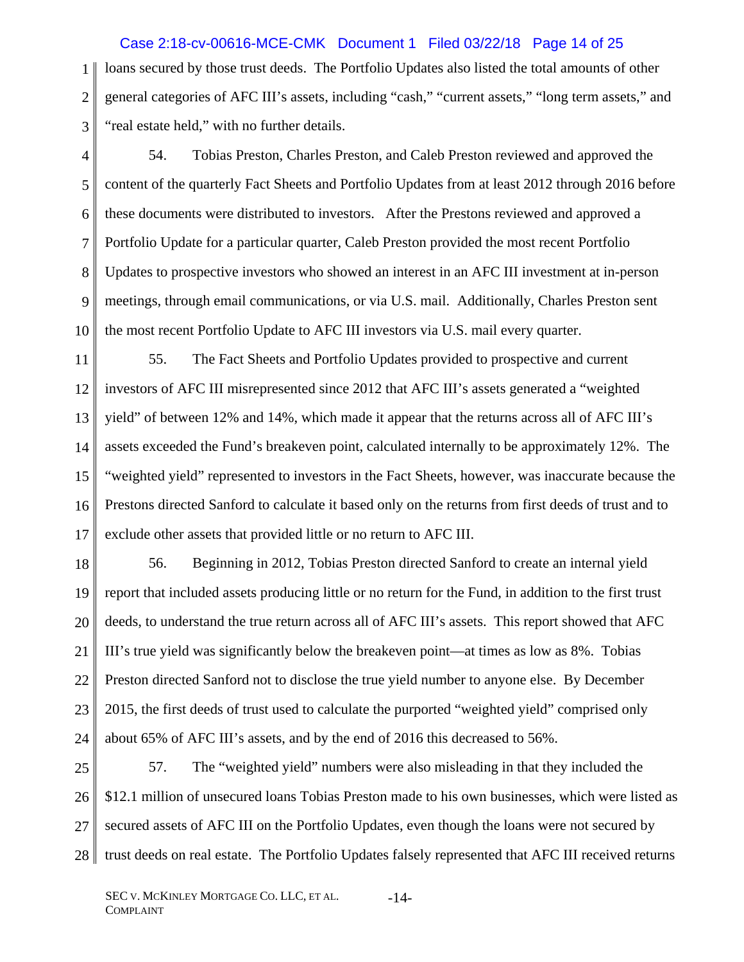1 2 3 loans secured by those trust deeds. The Portfolio Updates also listed the total amounts of other general categories of AFC III's assets, including "cash," "current assets," "long term assets," and "real estate held," with no further details. Case 2:18-cv-00616-MCE-CMK Document 1 Filed 03/22/18 Page 14 of 25

4 5 6 7 8 9 10 54. Tobias Preston, Charles Preston, and Caleb Preston reviewed and approved the content of the quarterly Fact Sheets and Portfolio Updates from at least 2012 through 2016 before these documents were distributed to investors. After the Prestons reviewed and approved a Portfolio Update for a particular quarter, Caleb Preston provided the most recent Portfolio Updates to prospective investors who showed an interest in an AFC III investment at in-person meetings, through email communications, or via U.S. mail. Additionally, Charles Preston sent the most recent Portfolio Update to AFC III investors via U.S. mail every quarter.

11 12 13 14 15 16 17 55. The Fact Sheets and Portfolio Updates provided to prospective and current investors of AFC III misrepresented since 2012 that AFC III's assets generated a "weighted yield" of between 12% and 14%, which made it appear that the returns across all of AFC III's assets exceeded the Fund's breakeven point, calculated internally to be approximately 12%. The "weighted yield" represented to investors in the Fact Sheets, however, was inaccurate because the Prestons directed Sanford to calculate it based only on the returns from first deeds of trust and to exclude other assets that provided little or no return to AFC III.

18 19 20 21 22 23 24 56. Beginning in 2012, Tobias Preston directed Sanford to create an internal yield report that included assets producing little or no return for the Fund, in addition to the first trust deeds, to understand the true return across all of AFC III's assets. This report showed that AFC III's true yield was significantly below the breakeven point—at times as low as 8%. Tobias Preston directed Sanford not to disclose the true yield number to anyone else. By December 2015, the first deeds of trust used to calculate the purported "weighted yield" comprised only about 65% of AFC III's assets, and by the end of 2016 this decreased to 56%.

25 26 27 28 57. The "weighted yield" numbers were also misleading in that they included the \$12.1 million of unsecured loans Tobias Preston made to his own businesses, which were listed as secured assets of AFC III on the Portfolio Updates, even though the loans were not secured by trust deeds on real estate. The Portfolio Updates falsely represented that AFC III received returns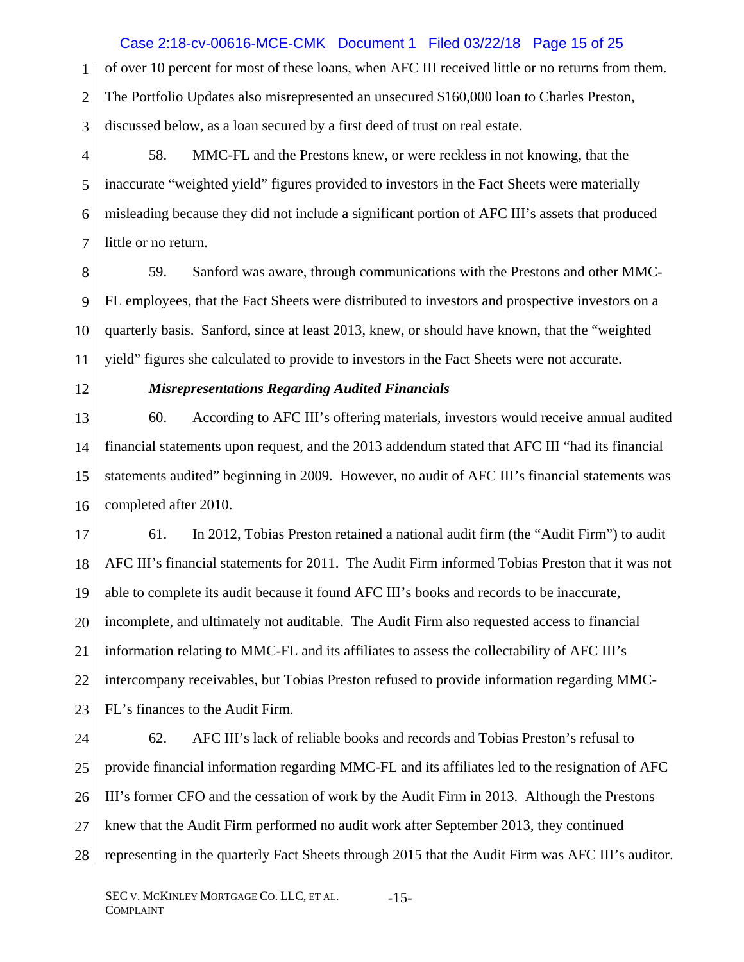of over 10 percent for most of these loans, when AFC III received little or no returns from them. Case 2:18-cv-00616-MCE-CMK Document 1 Filed 03/22/18 Page 15 of 25

2 The Portfolio Updates also misrepresented an unsecured \$160,000 loan to Charles Preston,

3 discussed below, as a loan secured by a first deed of trust on real estate.

4 5 6 7 58. MMC-FL and the Prestons knew, or were reckless in not knowing, that the inaccurate "weighted yield" figures provided to investors in the Fact Sheets were materially misleading because they did not include a significant portion of AFC III's assets that produced little or no return.

8 9 10 11 59. Sanford was aware, through communications with the Prestons and other MMC-FL employees, that the Fact Sheets were distributed to investors and prospective investors on a quarterly basis. Sanford, since at least 2013, knew, or should have known, that the "weighted yield" figures she calculated to provide to investors in the Fact Sheets were not accurate.

12

1

### *Misrepresentations Regarding Audited Financials*

13 14 15 16 60. According to AFC III's offering materials, investors would receive annual audited financial statements upon request, and the 2013 addendum stated that AFC III "had its financial statements audited" beginning in 2009. However, no audit of AFC III's financial statements was completed after 2010.

17 18 19 20 21 22 23 61. In 2012, Tobias Preston retained a national audit firm (the "Audit Firm") to audit AFC III's financial statements for 2011. The Audit Firm informed Tobias Preston that it was not able to complete its audit because it found AFC III's books and records to be inaccurate, incomplete, and ultimately not auditable. The Audit Firm also requested access to financial information relating to MMC-FL and its affiliates to assess the collectability of AFC III's intercompany receivables, but Tobias Preston refused to provide information regarding MMC-FL's finances to the Audit Firm.

24 25 26 27 28 62. AFC III's lack of reliable books and records and Tobias Preston's refusal to provide financial information regarding MMC-FL and its affiliates led to the resignation of AFC III's former CFO and the cessation of work by the Audit Firm in 2013. Although the Prestons knew that the Audit Firm performed no audit work after September 2013, they continued representing in the quarterly Fact Sheets through 2015 that the Audit Firm was AFC III's auditor.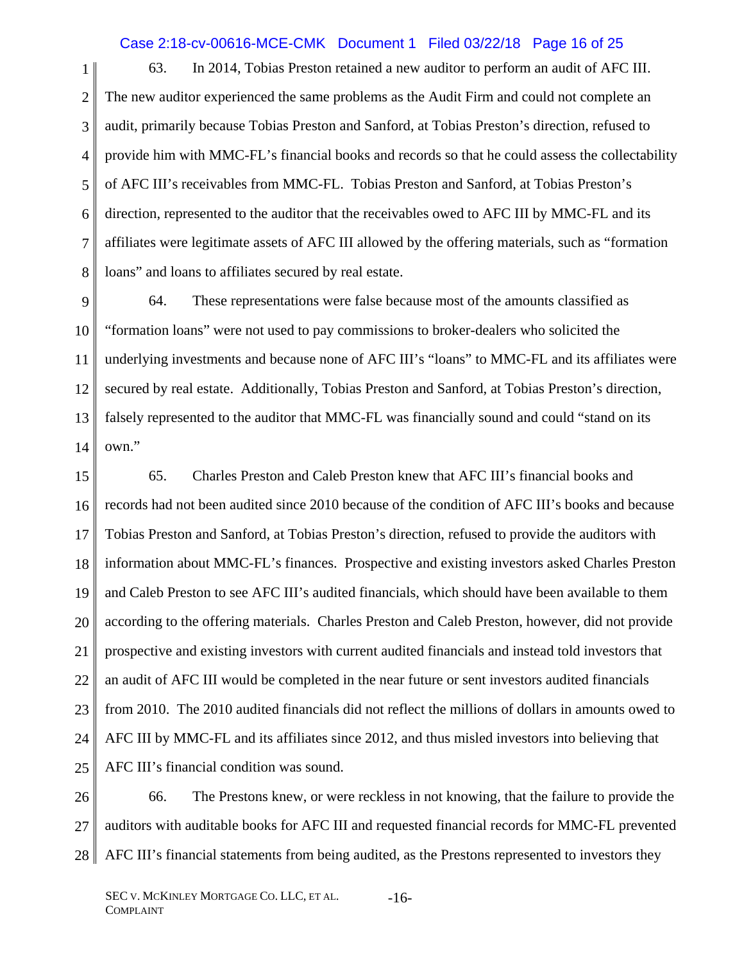## Case 2:18-cv-00616-MCE-CMK Document 1 Filed 03/22/18 Page 16 of 25

1 2 3 4 5 6 7 8 63. In 2014, Tobias Preston retained a new auditor to perform an audit of AFC III. The new auditor experienced the same problems as the Audit Firm and could not complete an audit, primarily because Tobias Preston and Sanford, at Tobias Preston's direction, refused to provide him with MMC-FL's financial books and records so that he could assess the collectability of AFC III's receivables from MMC-FL. Tobias Preston and Sanford, at Tobias Preston's direction, represented to the auditor that the receivables owed to AFC III by MMC-FL and its affiliates were legitimate assets of AFC III allowed by the offering materials, such as "formation loans" and loans to affiliates secured by real estate.

9 10 11 12 13 14 64. These representations were false because most of the amounts classified as "formation loans" were not used to pay commissions to broker-dealers who solicited the underlying investments and because none of AFC III's "loans" to MMC-FL and its affiliates were secured by real estate. Additionally, Tobias Preston and Sanford, at Tobias Preston's direction, falsely represented to the auditor that MMC-FL was financially sound and could "stand on its own."

15 16 17 18 19 20 21 22 23 24 25 65. Charles Preston and Caleb Preston knew that AFC III's financial books and records had not been audited since 2010 because of the condition of AFC III's books and because Tobias Preston and Sanford, at Tobias Preston's direction, refused to provide the auditors with information about MMC-FL's finances. Prospective and existing investors asked Charles Preston and Caleb Preston to see AFC III's audited financials, which should have been available to them according to the offering materials. Charles Preston and Caleb Preston, however, did not provide prospective and existing investors with current audited financials and instead told investors that an audit of AFC III would be completed in the near future or sent investors audited financials from 2010. The 2010 audited financials did not reflect the millions of dollars in amounts owed to AFC III by MMC-FL and its affiliates since 2012, and thus misled investors into believing that AFC III's financial condition was sound.

26 27 28 66. The Prestons knew, or were reckless in not knowing, that the failure to provide the auditors with auditable books for AFC III and requested financial records for MMC-FL prevented AFC III's financial statements from being audited, as the Prestons represented to investors they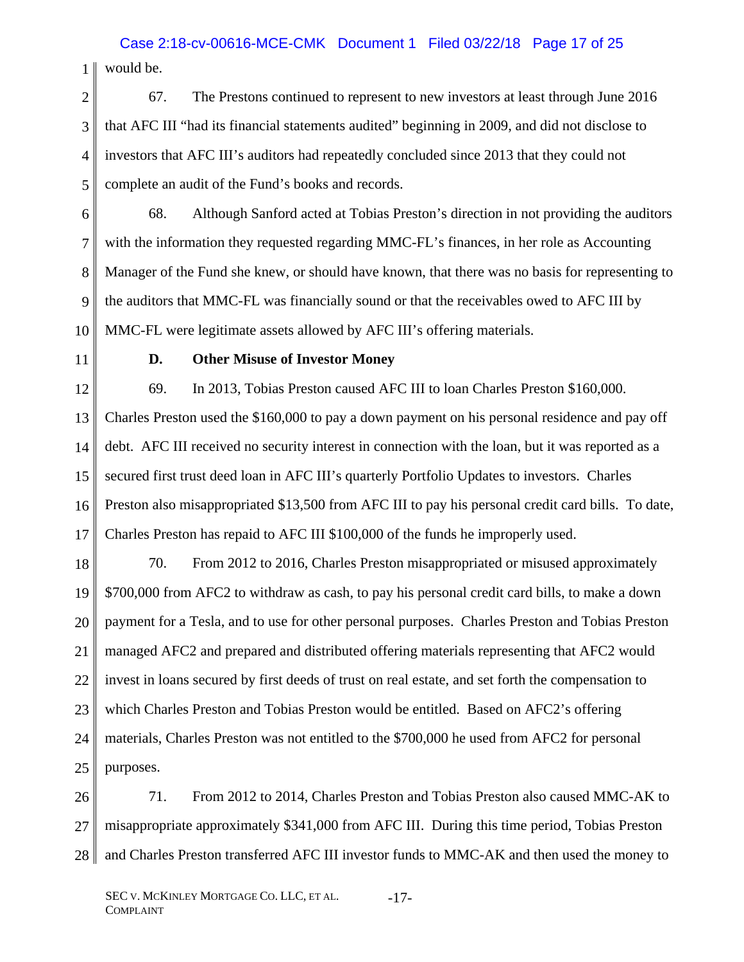1 would be. Case 2:18-cv-00616-MCE-CMK Document 1 Filed 03/22/18 Page 17 of 25

2 3 4 5 67. The Prestons continued to represent to new investors at least through June 2016 that AFC III "had its financial statements audited" beginning in 2009, and did not disclose to investors that AFC III's auditors had repeatedly concluded since 2013 that they could not complete an audit of the Fund's books and records.

6 7 8 9 10 68. Although Sanford acted at Tobias Preston's direction in not providing the auditors with the information they requested regarding MMC-FL's finances, in her role as Accounting Manager of the Fund she knew, or should have known, that there was no basis for representing to the auditors that MMC-FL was financially sound or that the receivables owed to AFC III by MMC-FL were legitimate assets allowed by AFC III's offering materials.

11

### **D. Other Misuse of Investor Money**

12 13 14 15 16 17 69. In 2013, Tobias Preston caused AFC III to loan Charles Preston \$160,000. Charles Preston used the \$160,000 to pay a down payment on his personal residence and pay off debt. AFC III received no security interest in connection with the loan, but it was reported as a secured first trust deed loan in AFC III's quarterly Portfolio Updates to investors. Charles Preston also misappropriated \$13,500 from AFC III to pay his personal credit card bills. To date, Charles Preston has repaid to AFC III \$100,000 of the funds he improperly used.

18 19 20 21 22 23 24 25 70. From 2012 to 2016, Charles Preston misappropriated or misused approximately \$700,000 from AFC2 to withdraw as cash, to pay his personal credit card bills, to make a down payment for a Tesla, and to use for other personal purposes. Charles Preston and Tobias Preston managed AFC2 and prepared and distributed offering materials representing that AFC2 would invest in loans secured by first deeds of trust on real estate, and set forth the compensation to which Charles Preston and Tobias Preston would be entitled. Based on AFC2's offering materials, Charles Preston was not entitled to the \$700,000 he used from AFC2 for personal purposes.

26 27 28 71. From 2012 to 2014, Charles Preston and Tobias Preston also caused MMC-AK to misappropriate approximately \$341,000 from AFC III. During this time period, Tobias Preston and Charles Preston transferred AFC III investor funds to MMC-AK and then used the money to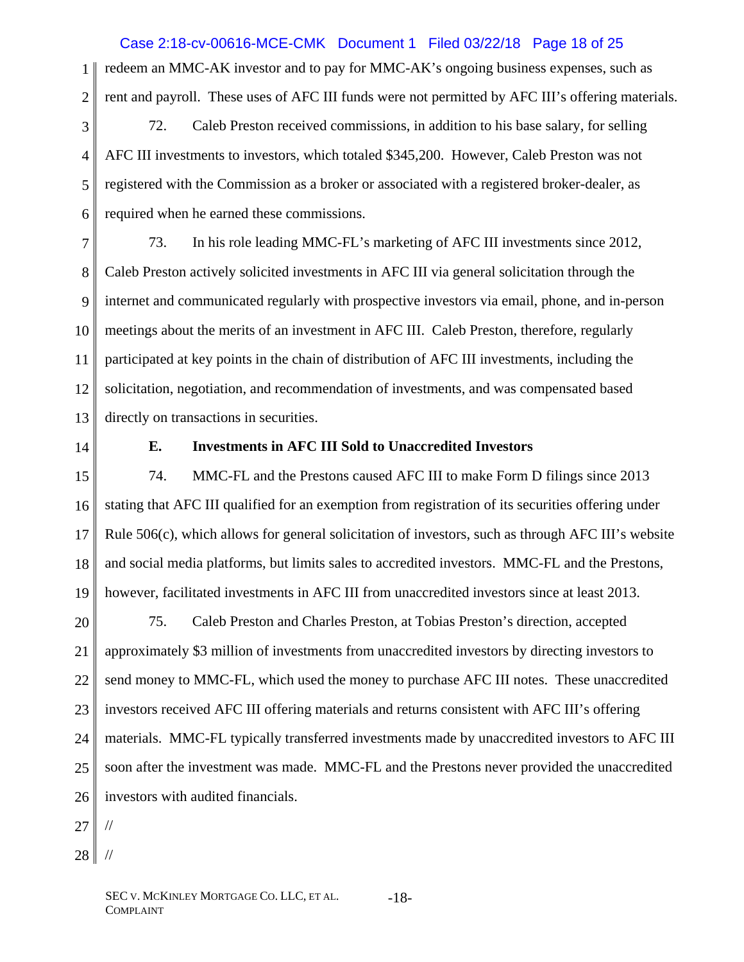## Case 2:18-cv-00616-MCE-CMK Document 1 Filed 03/22/18 Page 18 of 25

1 2 redeem an MMC-AK investor and to pay for MMC-AK's ongoing business expenses, such as rent and payroll. These uses of AFC III funds were not permitted by AFC III's offering materials.

3 4 5 6 72. Caleb Preston received commissions, in addition to his base salary, for selling AFC III investments to investors, which totaled \$345,200. However, Caleb Preston was not registered with the Commission as a broker or associated with a registered broker-dealer, as required when he earned these commissions.

7 8 9 10 11 12 13 73. In his role leading MMC-FL's marketing of AFC III investments since 2012, Caleb Preston actively solicited investments in AFC III via general solicitation through the internet and communicated regularly with prospective investors via email, phone, and in-person meetings about the merits of an investment in AFC III. Caleb Preston, therefore, regularly participated at key points in the chain of distribution of AFC III investments, including the solicitation, negotiation, and recommendation of investments, and was compensated based directly on transactions in securities.

14

### **E. Investments in AFC III Sold to Unaccredited Investors**

15 16 17 18 19 74. MMC-FL and the Prestons caused AFC III to make Form D filings since 2013 stating that AFC III qualified for an exemption from registration of its securities offering under Rule 506(c), which allows for general solicitation of investors, such as through AFC III's website and social media platforms, but limits sales to accredited investors. MMC-FL and the Prestons, however, facilitated investments in AFC III from unaccredited investors since at least 2013.

20 21 22 23 24 25 26 75. Caleb Preston and Charles Preston, at Tobias Preston's direction, accepted approximately \$3 million of investments from unaccredited investors by directing investors to send money to MMC-FL, which used the money to purchase AFC III notes. These unaccredited investors received AFC III offering materials and returns consistent with AFC III's offering materials. MMC-FL typically transferred investments made by unaccredited investors to AFC III soon after the investment was made. MMC-FL and the Prestons never provided the unaccredited investors with audited financials.

27 //

28 //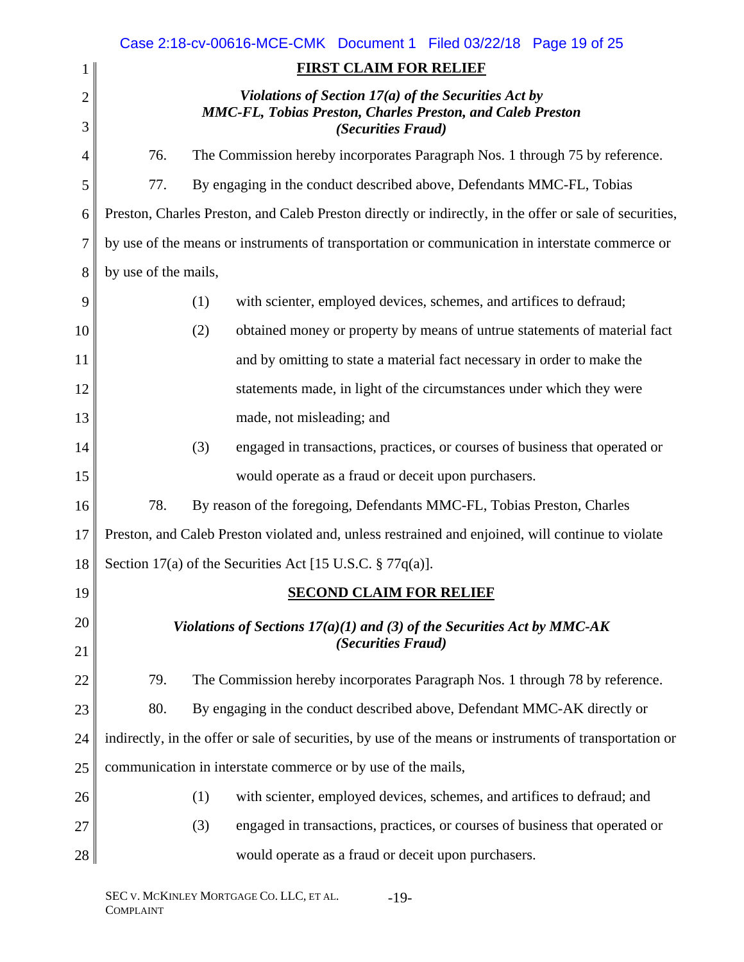|                |                      | Case 2:18-cv-00616-MCE-CMK  Document 1  Filed 03/22/18  Page 19 of 25                                   |
|----------------|----------------------|---------------------------------------------------------------------------------------------------------|
| 1              |                      | <b>FIRST CLAIM FOR RELIEF</b>                                                                           |
| $\overline{2}$ |                      | Violations of Section $17(a)$ of the Securities Act by                                                  |
| 3              |                      | <b>MMC-FL, Tobias Preston, Charles Preston, and Caleb Preston</b><br><i>(Securities Fraud)</i>          |
| 4              | 76.                  | The Commission hereby incorporates Paragraph Nos. 1 through 75 by reference.                            |
| 5              | 77.                  | By engaging in the conduct described above, Defendants MMC-FL, Tobias                                   |
| 6              |                      | Preston, Charles Preston, and Caleb Preston directly or indirectly, in the offer or sale of securities, |
| 7              |                      | by use of the means or instruments of transportation or communication in interstate commerce or         |
| 8              | by use of the mails, |                                                                                                         |
| 9              |                      | (1)<br>with scienter, employed devices, schemes, and artifices to defraud;                              |
| 10             |                      | obtained money or property by means of untrue statements of material fact<br>(2)                        |
| 11             |                      | and by omitting to state a material fact necessary in order to make the                                 |
| 12             |                      | statements made, in light of the circumstances under which they were                                    |
| 13             |                      | made, not misleading; and                                                                               |
| 14             |                      | engaged in transactions, practices, or courses of business that operated or<br>(3)                      |
| 15             |                      | would operate as a fraud or deceit upon purchasers.                                                     |
| 16             | 78.                  | By reason of the foregoing, Defendants MMC-FL, Tobias Preston, Charles                                  |
| 17             |                      | Preston, and Caleb Preston violated and, unless restrained and enjoined, will continue to violate       |
| 18             |                      | Section 17(a) of the Securities Act [15 U.S.C. § 77q(a)].                                               |
| 19             |                      | <b>SECOND CLAIM FOR RELIEF</b>                                                                          |
| 20             |                      | Violations of Sections $17(a)(1)$ and (3) of the Securities Act by MMC-AK                               |
| 21             |                      | (Securities Fraud)                                                                                      |
| 22             | 79.                  | The Commission hereby incorporates Paragraph Nos. 1 through 78 by reference.                            |
| 23             | 80.                  | By engaging in the conduct described above, Defendant MMC-AK directly or                                |
| 24             |                      | indirectly, in the offer or sale of securities, by use of the means or instruments of transportation or |
| 25             |                      | communication in interstate commerce or by use of the mails,                                            |
| 26             |                      | (1)<br>with scienter, employed devices, schemes, and artifices to defraud; and                          |
| 27             |                      | engaged in transactions, practices, or courses of business that operated or<br>(3)                      |
| 28             |                      | would operate as a fraud or deceit upon purchasers.                                                     |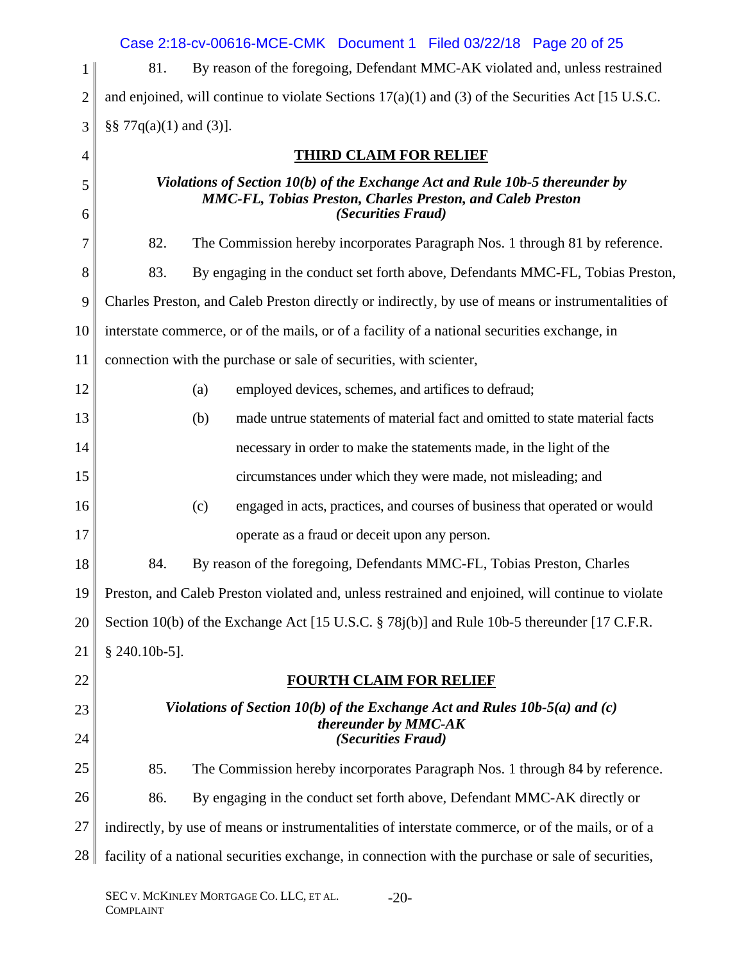|                | Case 2:18-cv-00616-MCE-CMK  Document 1  Filed 03/22/18  Page 20 of 25                                                                                                   |
|----------------|-------------------------------------------------------------------------------------------------------------------------------------------------------------------------|
| $\mathbf 1$    | By reason of the foregoing, Defendant MMC-AK violated and, unless restrained<br>81.                                                                                     |
| $\overline{2}$ | and enjoined, will continue to violate Sections $17(a)(1)$ and (3) of the Securities Act [15 U.S.C.                                                                     |
| 3              | $\S\S 77q(a)(1)$ and (3)].                                                                                                                                              |
| $\overline{4}$ | <b>THIRD CLAIM FOR RELIEF</b>                                                                                                                                           |
| 5<br>6         | Violations of Section 10(b) of the Exchange Act and Rule 10b-5 thereunder by<br><b>MMC-FL, Tobias Preston, Charles Preston, and Caleb Preston</b><br>(Securities Fraud) |
| 7              | 82.<br>The Commission hereby incorporates Paragraph Nos. 1 through 81 by reference.                                                                                     |
| 8              | 83.<br>By engaging in the conduct set forth above, Defendants MMC-FL, Tobias Preston,                                                                                   |
| 9              | Charles Preston, and Caleb Preston directly or indirectly, by use of means or instrumentalities of                                                                      |
| 10             | interstate commerce, or of the mails, or of a facility of a national securities exchange, in                                                                            |
| 11             | connection with the purchase or sale of securities, with scienter,                                                                                                      |
| 12             | employed devices, schemes, and artifices to defraud;<br>(a)                                                                                                             |
| 13             | made untrue statements of material fact and omitted to state material facts<br>(b)                                                                                      |
| 14             | necessary in order to make the statements made, in the light of the                                                                                                     |
| 15             | circumstances under which they were made, not misleading; and                                                                                                           |
| 16             | engaged in acts, practices, and courses of business that operated or would<br>(c)                                                                                       |
| 17             | operate as a fraud or deceit upon any person.                                                                                                                           |
| 18             | 84.<br>By reason of the foregoing, Defendants MMC-FL, Tobias Preston, Charles                                                                                           |
| 19             | Preston, and Caleb Preston violated and, unless restrained and enjoined, will continue to violate                                                                       |
| 20             | Section 10(b) of the Exchange Act [15 U.S.C. § 78j(b)] and Rule 10b-5 thereunder [17 C.F.R.                                                                             |
| 21             | $§$ 240.10b-5].                                                                                                                                                         |
| 22             | <b>FOURTH CLAIM FOR RELIEF</b>                                                                                                                                          |
| 23             | Violations of Section 10(b) of the Exchange Act and Rules $10b-5(a)$ and (c)                                                                                            |
| 24             | thereunder by MMC-AK<br>(Securities Fraud)                                                                                                                              |
| 25             | 85.<br>The Commission hereby incorporates Paragraph Nos. 1 through 84 by reference.                                                                                     |
| 26             | 86.<br>By engaging in the conduct set forth above, Defendant MMC-AK directly or                                                                                         |
| 27             | indirectly, by use of means or instrumentalities of interstate commerce, or of the mails, or of a                                                                       |
| 28             | facility of a national securities exchange, in connection with the purchase or sale of securities,                                                                      |
|                |                                                                                                                                                                         |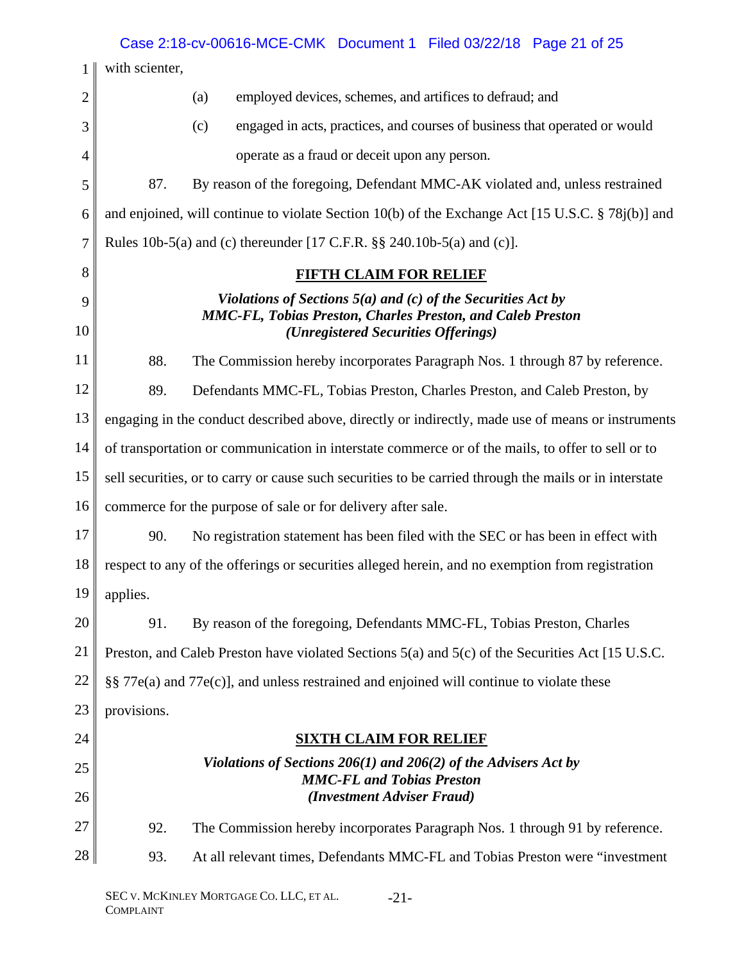|                |                                                                | Case 2:18-cv-00616-MCE-CMK  Document 1  Filed 03/22/18  Page 21  of 25                                                            |
|----------------|----------------------------------------------------------------|-----------------------------------------------------------------------------------------------------------------------------------|
| 1              | with scienter,                                                 |                                                                                                                                   |
| $\overline{2}$ |                                                                | employed devices, schemes, and artifices to defraud; and<br>(a)                                                                   |
| 3              |                                                                | (c)<br>engaged in acts, practices, and courses of business that operated or would                                                 |
| 4              |                                                                | operate as a fraud or deceit upon any person.                                                                                     |
| 5              | 87.                                                            | By reason of the foregoing, Defendant MMC-AK violated and, unless restrained                                                      |
| 6              |                                                                | and enjoined, will continue to violate Section 10(b) of the Exchange Act [15 U.S.C. § 78j(b)] and                                 |
| 7              |                                                                | Rules 10b-5(a) and (c) thereunder [17 C.F.R. $\S$ 240.10b-5(a) and (c)].                                                          |
| 8              |                                                                | <b>FIFTH CLAIM FOR RELIEF</b>                                                                                                     |
| 9              | Violations of Sections $5(a)$ and (c) of the Securities Act by |                                                                                                                                   |
| 10             |                                                                | <b>MMC-FL, Tobias Preston, Charles Preston, and Caleb Preston</b><br>(Unregistered Securities Offerings)                          |
| 11             | 88.                                                            | The Commission hereby incorporates Paragraph Nos. 1 through 87 by reference.                                                      |
| 12             | 89.                                                            | Defendants MMC-FL, Tobias Preston, Charles Preston, and Caleb Preston, by                                                         |
| 13             |                                                                | engaging in the conduct described above, directly or indirectly, made use of means or instruments                                 |
| 14             |                                                                | of transportation or communication in interstate commerce or of the mails, to offer to sell or to                                 |
| 15             |                                                                | sell securities, or to carry or cause such securities to be carried through the mails or in interstate                            |
| 16             |                                                                | commerce for the purpose of sale or for delivery after sale.                                                                      |
| 17             | 90.                                                            | No registration statement has been filed with the SEC or has been in effect with                                                  |
| 18             |                                                                | respect to any of the offerings or securities alleged herein, and no exemption from registration                                  |
| 19             | applies.                                                       |                                                                                                                                   |
| 20             | 91.                                                            | By reason of the foregoing, Defendants MMC-FL, Tobias Preston, Charles                                                            |
| 21             |                                                                | Preston, and Caleb Preston have violated Sections 5(a) and 5(c) of the Securities Act [15 U.S.C.                                  |
| 22             |                                                                | §§ 77e(a) and 77e(c)], and unless restrained and enjoined will continue to violate these                                          |
| 23             | provisions.                                                    |                                                                                                                                   |
| 24             |                                                                | <b>SIXTH CLAIM FOR RELIEF</b>                                                                                                     |
| 25<br>26       |                                                                | Violations of Sections 206(1) and 206(2) of the Advisers Act by<br><b>MMC-FL and Tobias Preston</b><br>(Investment Adviser Fraud) |
| 27             | 92.                                                            | The Commission hereby incorporates Paragraph Nos. 1 through 91 by reference.                                                      |
| 28             | 93.                                                            | At all relevant times, Defendants MMC-FL and Tobias Preston were "investment"                                                     |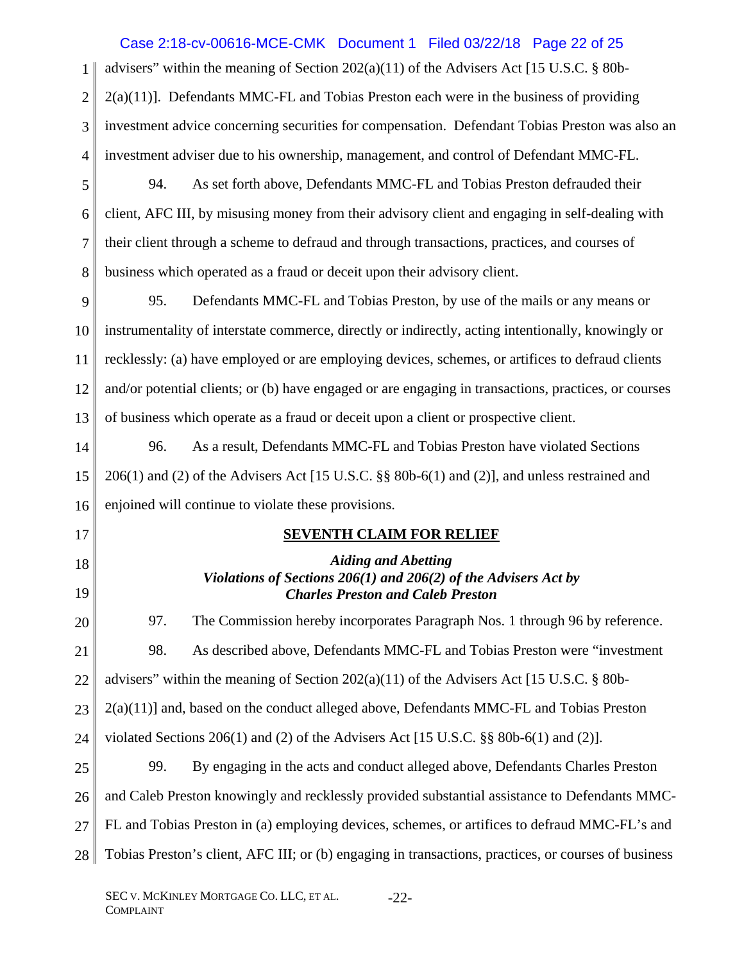|                | Case 2:18-cv-00616-MCE-CMK  Document 1  Filed 03/22/18  Page 22 of 25                                |
|----------------|------------------------------------------------------------------------------------------------------|
| 1              | advisers" within the meaning of Section $202(a)(11)$ of the Advisers Act [15 U.S.C. § 80b-           |
| $\overline{2}$ | 2(a)(11)]. Defendants MMC-FL and Tobias Preston each were in the business of providing               |
| 3              | investment advice concerning securities for compensation. Defendant Tobias Preston was also an       |
| 4              | investment adviser due to his ownership, management, and control of Defendant MMC-FL.                |
| 5              | As set forth above, Defendants MMC-FL and Tobias Preston defrauded their<br>94.                      |
| 6              | client, AFC III, by misusing money from their advisory client and engaging in self-dealing with      |
| $\tau$         | their client through a scheme to defraud and through transactions, practices, and courses of         |
| 8              | business which operated as a fraud or deceit upon their advisory client.                             |
| 9              | 95.<br>Defendants MMC-FL and Tobias Preston, by use of the mails or any means or                     |
| 10             | instrumentality of interstate commerce, directly or indirectly, acting intentionally, knowingly or   |
| 11             | recklessly: (a) have employed or are employing devices, schemes, or artifices to defraud clients     |
| 12             | and/or potential clients; or (b) have engaged or are engaging in transactions, practices, or courses |
| 13             | of business which operate as a fraud or deceit upon a client or prospective client.                  |
| 14             | As a result, Defendants MMC-FL and Tobias Preston have violated Sections<br>96.                      |
| 15             | $206(1)$ and (2) of the Advisers Act [15 U.S.C. §§ 80b-6(1) and (2)], and unless restrained and      |
| 16             | enjoined will continue to violate these provisions.                                                  |
| 17             | <b>SEVENTH CLAIM FOR RELIEF</b>                                                                      |
| 18             | <b>Aiding and Abetting</b><br>Violations of Sections $206(1)$ and $206(2)$ of the Advisers Act by    |
| 19             | <b>Charles Preston and Caleb Preston</b>                                                             |
| 20             | 97.<br>The Commission hereby incorporates Paragraph Nos. 1 through 96 by reference.                  |
| 21             | 98.<br>As described above, Defendants MMC-FL and Tobias Preston were "investment"                    |
| 22             | advisers" within the meaning of Section $202(a)(11)$ of the Advisers Act [15 U.S.C. § 80b-           |
| 23             | $2(a)(11)$ ] and, based on the conduct alleged above, Defendants MMC-FL and Tobias Preston           |
| 24             | violated Sections 206(1) and (2) of the Advisers Act [15 U.S.C. $\S$ § 80b-6(1) and (2)].            |
| 25             | 99.<br>By engaging in the acts and conduct alleged above, Defendants Charles Preston                 |
| 26             | and Caleb Preston knowingly and recklessly provided substantial assistance to Defendants MMC-        |
| 27             | FL and Tobias Preston in (a) employing devices, schemes, or artifices to defraud MMC-FL's and        |
| 28             | Tobias Preston's client, AFC III; or (b) engaging in transactions, practices, or courses of business |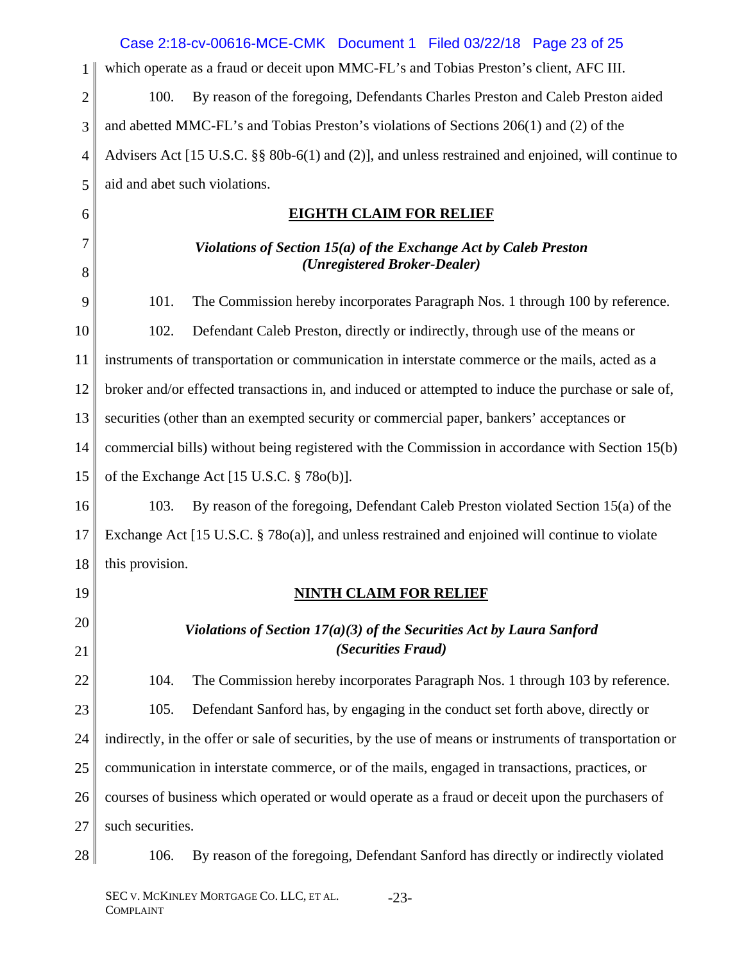|                | Case 2:18-cv-00616-MCE-CMK  Document 1  Filed 03/22/18  Page 23 of 25                                   |  |
|----------------|---------------------------------------------------------------------------------------------------------|--|
| 1              | which operate as a fraud or deceit upon MMC-FL's and Tobias Preston's client, AFC III.                  |  |
| $\overline{2}$ | By reason of the foregoing, Defendants Charles Preston and Caleb Preston aided<br>100.                  |  |
| 3              | and abetted MMC-FL's and Tobias Preston's violations of Sections 206(1) and (2) of the                  |  |
| $\overline{4}$ | Advisers Act [15 U.S.C. §§ 80b-6(1) and (2)], and unless restrained and enjoined, will continue to      |  |
| 5              | aid and abet such violations.                                                                           |  |
| 6              | <b>EIGHTH CLAIM FOR RELIEF</b>                                                                          |  |
| 7<br>8         | Violations of Section $15(a)$ of the Exchange Act by Caleb Preston<br>(Unregistered Broker-Dealer)      |  |
| 9              | 101.<br>The Commission hereby incorporates Paragraph Nos. 1 through 100 by reference.                   |  |
| 10             | 102.<br>Defendant Caleb Preston, directly or indirectly, through use of the means or                    |  |
| 11             | instruments of transportation or communication in interstate commerce or the mails, acted as a          |  |
| 12             | broker and/or effected transactions in, and induced or attempted to induce the purchase or sale of,     |  |
| 13             | securities (other than an exempted security or commercial paper, bankers' acceptances or                |  |
| 14             | commercial bills) without being registered with the Commission in accordance with Section 15(b)         |  |
| 15             | of the Exchange Act $[15 \text{ U.S.C. } § 780(b)].$                                                    |  |
| 16             | 103.<br>By reason of the foregoing, Defendant Caleb Preston violated Section 15(a) of the               |  |
| 17             | Exchange Act [15 U.S.C. § 78o(a)], and unless restrained and enjoined will continue to violate          |  |
| 18             | this provision.                                                                                         |  |
| 19             | <b>NINTH CLAIM FOR RELIEF</b>                                                                           |  |
| 20             | Violations of Section $17(a)(3)$ of the Securities Act by Laura Sanford                                 |  |
| 21             | (Securities Fraud)                                                                                      |  |
| 22             | The Commission hereby incorporates Paragraph Nos. 1 through 103 by reference.<br>104.                   |  |
| 23             | Defendant Sanford has, by engaging in the conduct set forth above, directly or<br>105.                  |  |
| 24             | indirectly, in the offer or sale of securities, by the use of means or instruments of transportation or |  |
| 25             | communication in interstate commerce, or of the mails, engaged in transactions, practices, or           |  |
| 26             | courses of business which operated or would operate as a fraud or deceit upon the purchasers of         |  |
| 27             | such securities.                                                                                        |  |
| 28             | By reason of the foregoing, Defendant Sanford has directly or indirectly violated<br>106.               |  |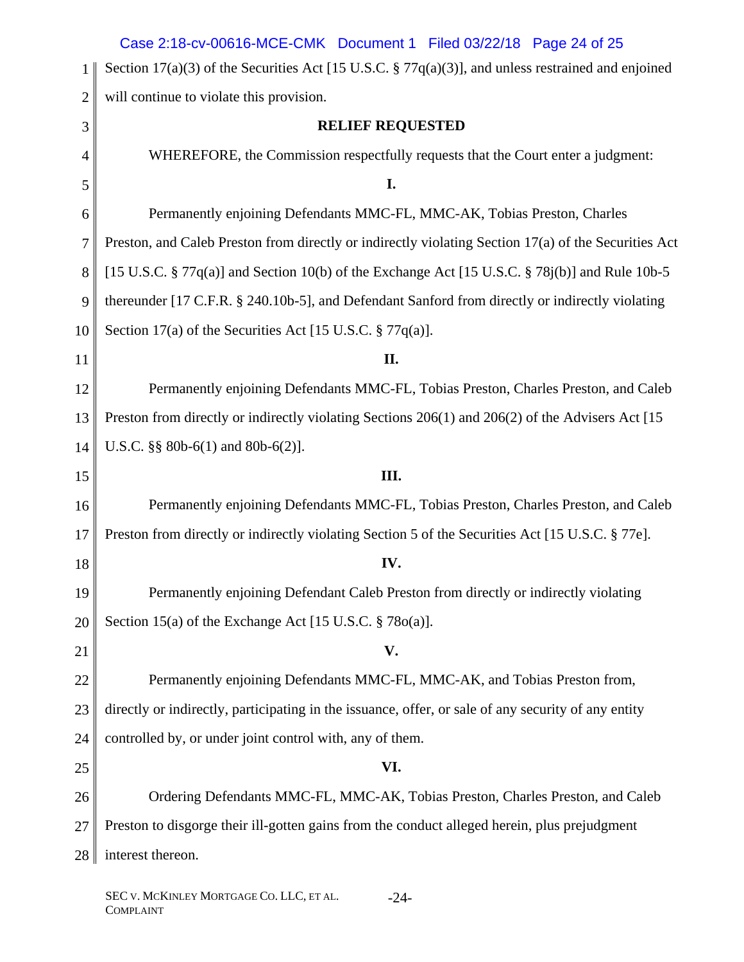|                | Case 2:18-cv-00616-MCE-CMK  Document 1  Filed 03/22/18  Page 24  of 25                                 |
|----------------|--------------------------------------------------------------------------------------------------------|
| 1              | Section 17(a)(3) of the Securities Act [15 U.S.C. $\S 77q(a)(3)$ ], and unless restrained and enjoined |
| $\overline{2}$ | will continue to violate this provision.                                                               |
| 3              | <b>RELIEF REQUESTED</b>                                                                                |
| 4              | WHEREFORE, the Commission respectfully requests that the Court enter a judgment:                       |
| 5              | I.                                                                                                     |
| 6              | Permanently enjoining Defendants MMC-FL, MMC-AK, Tobias Preston, Charles                               |
| 7              | Preston, and Caleb Preston from directly or indirectly violating Section 17(a) of the Securities Act   |
| 8              | [15 U.S.C. $\S 77q(a)$ ] and Section 10(b) of the Exchange Act [15 U.S.C. $\S 78j(b)$ ] and Rule 10b-5 |
| 9              | thereunder [17 C.F.R. § 240.10b-5], and Defendant Sanford from directly or indirectly violating        |
| 10             | Section 17(a) of the Securities Act [15 U.S.C. $\S 77q(a)$ ].                                          |
| 11             | II.                                                                                                    |
| 12             | Permanently enjoining Defendants MMC-FL, Tobias Preston, Charles Preston, and Caleb                    |
| 13             | Preston from directly or indirectly violating Sections 206(1) and 206(2) of the Advisers Act [15]      |
| 14             | U.S.C. $\S\S 80b-6(1)$ and $80b-6(2)$ ].                                                               |
| 15             | III.                                                                                                   |
| 16             | Permanently enjoining Defendants MMC-FL, Tobias Preston, Charles Preston, and Caleb                    |
| 17             | Preston from directly or indirectly violating Section 5 of the Securities Act [15 U.S.C. § 77e].       |
| 18             | IV.                                                                                                    |
| 19             | Permanently enjoining Defendant Caleb Preston from directly or indirectly violating                    |
| 20             | Section 15(a) of the Exchange Act [15 U.S.C. $\S$ 78 $o$ (a)].                                         |
| 21             | V.                                                                                                     |
| 22             | Permanently enjoining Defendants MMC-FL, MMC-AK, and Tobias Preston from,                              |
| 23             | directly or indirectly, participating in the issuance, offer, or sale of any security of any entity    |
| 24             | controlled by, or under joint control with, any of them.                                               |
| 25             | VI.                                                                                                    |
| 26             | Ordering Defendants MMC-FL, MMC-AK, Tobias Preston, Charles Preston, and Caleb                         |
| 27             | Preston to disgorge their ill-gotten gains from the conduct alleged herein, plus prejudgment           |
| 28             | interest thereon.                                                                                      |
|                |                                                                                                        |